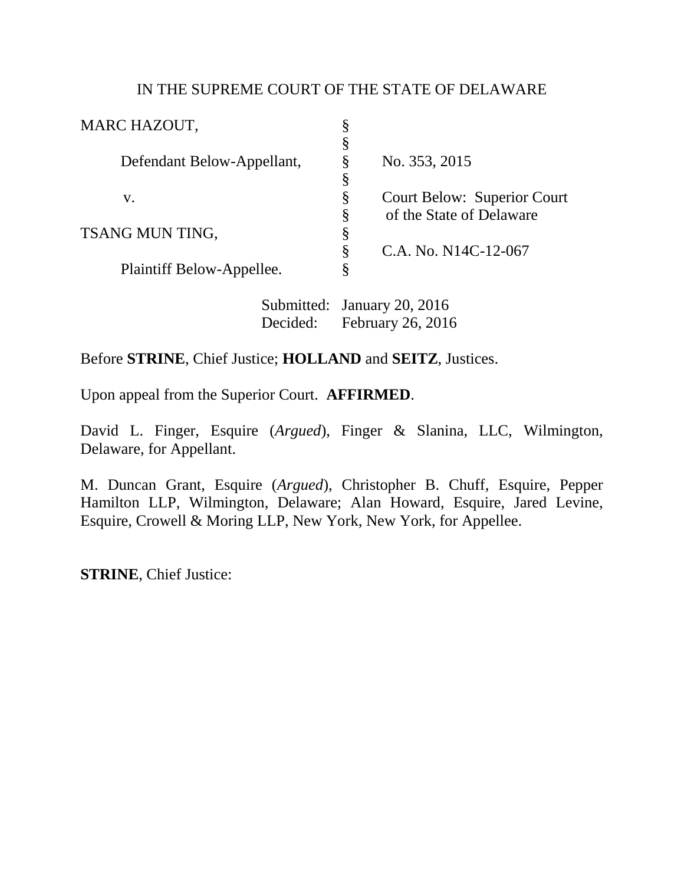### IN THE SUPREME COURT OF THE STATE OF DELAWARE

| MARC HAZOUT,               | ş                                                                                            |
|----------------------------|----------------------------------------------------------------------------------------------|
|                            | Š                                                                                            |
| Defendant Below-Appellant, | Ş<br>No. 353, 2015                                                                           |
|                            | §                                                                                            |
| V.                         | §<br><b>Court Below: Superior Court</b>                                                      |
|                            | of the State of Delaware<br>Ş                                                                |
| TSANG MUN TING,            | §                                                                                            |
|                            | Ş<br>C.A. No. N14C-12-067                                                                    |
| Plaintiff Below-Appellee.  | §                                                                                            |
|                            | $\mathcal{C}_{\mathbf{u}}$ hosting density $\mathcal{D}\mathcal{D}$ $\mathcal{D}\mathcal{D}$ |

Submitted: January 20, 2016 Decided: February 26, 2016

# Before **STRINE**, Chief Justice; **HOLLAND** and **SEITZ**, Justices.

Upon appeal from the Superior Court. **AFFIRMED**.

David L. Finger, Esquire (*Argued*), Finger & Slanina, LLC, Wilmington, Delaware, for Appellant.

M. Duncan Grant, Esquire (*Argued*), Christopher B. Chuff, Esquire, Pepper Hamilton LLP, Wilmington, Delaware; Alan Howard, Esquire, Jared Levine, Esquire, Crowell & Moring LLP, New York, New York, for Appellee.

**STRINE**, Chief Justice: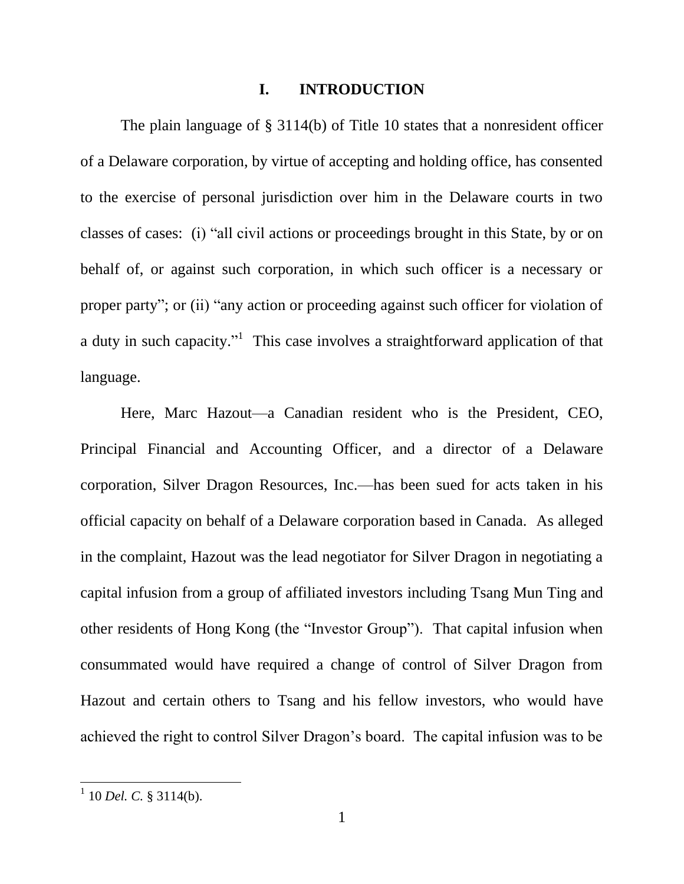#### **I. INTRODUCTION**

The plain language of § 3114(b) of Title 10 states that a nonresident officer of a Delaware corporation, by virtue of accepting and holding office, has consented to the exercise of personal jurisdiction over him in the Delaware courts in two classes of cases: (i) "all civil actions or proceedings brought in this State, by or on behalf of, or against such corporation, in which such officer is a necessary or proper party"; or (ii) "any action or proceeding against such officer for violation of a duty in such capacity."<sup>1</sup> This case involves a straightforward application of that language.

Here, Marc Hazout—a Canadian resident who is the President, CEO, Principal Financial and Accounting Officer, and a director of a Delaware corporation, Silver Dragon Resources, Inc.—has been sued for acts taken in his official capacity on behalf of a Delaware corporation based in Canada. As alleged in the complaint, Hazout was the lead negotiator for Silver Dragon in negotiating a capital infusion from a group of affiliated investors including Tsang Mun Ting and other residents of Hong Kong (the "Investor Group"). That capital infusion when consummated would have required a change of control of Silver Dragon from Hazout and certain others to Tsang and his fellow investors, who would have achieved the right to control Silver Dragon's board. The capital infusion was to be

<sup>&</sup>lt;sup>1</sup> 10 *Del. C.* § 3114(b).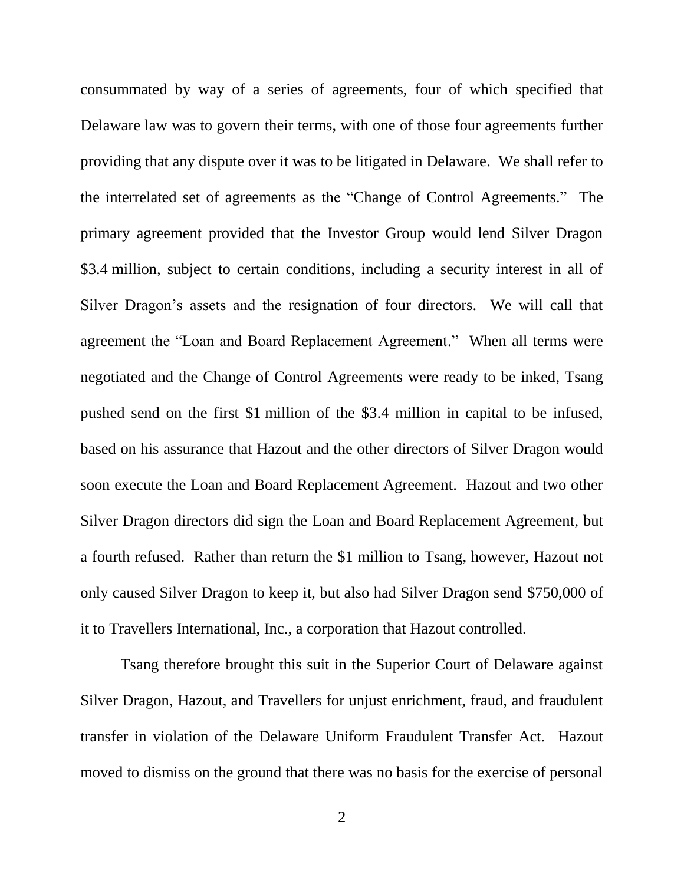consummated by way of a series of agreements, four of which specified that Delaware law was to govern their terms, with one of those four agreements further providing that any dispute over it was to be litigated in Delaware. We shall refer to the interrelated set of agreements as the "Change of Control Agreements." The primary agreement provided that the Investor Group would lend Silver Dragon \$3.4 million, subject to certain conditions, including a security interest in all of Silver Dragon's assets and the resignation of four directors. We will call that agreement the "Loan and Board Replacement Agreement." When all terms were negotiated and the Change of Control Agreements were ready to be inked, Tsang pushed send on the first \$1 million of the \$3.4 million in capital to be infused, based on his assurance that Hazout and the other directors of Silver Dragon would soon execute the Loan and Board Replacement Agreement. Hazout and two other Silver Dragon directors did sign the Loan and Board Replacement Agreement, but a fourth refused. Rather than return the \$1 million to Tsang, however, Hazout not only caused Silver Dragon to keep it, but also had Silver Dragon send \$750,000 of it to Travellers International, Inc., a corporation that Hazout controlled.

Tsang therefore brought this suit in the Superior Court of Delaware against Silver Dragon, Hazout, and Travellers for unjust enrichment, fraud, and fraudulent transfer in violation of the Delaware Uniform Fraudulent Transfer Act. Hazout moved to dismiss on the ground that there was no basis for the exercise of personal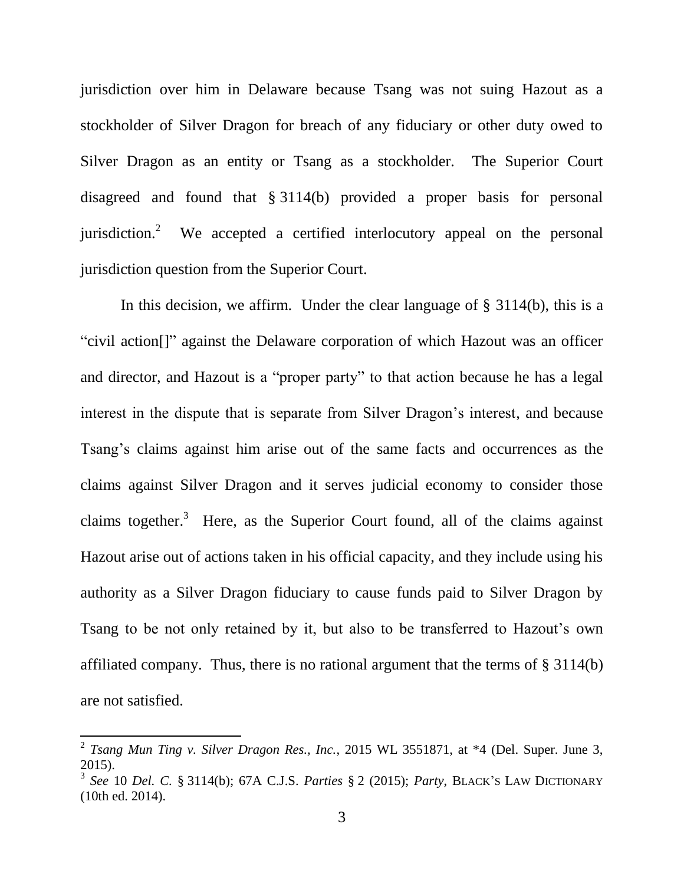jurisdiction over him in Delaware because Tsang was not suing Hazout as a stockholder of Silver Dragon for breach of any fiduciary or other duty owed to Silver Dragon as an entity or Tsang as a stockholder. The Superior Court disagreed and found that § 3114(b) provided a proper basis for personal jurisdiction.<sup>2</sup> We accepted a certified interlocutory appeal on the personal jurisdiction question from the Superior Court.

In this decision, we affirm. Under the clear language of § 3114(b), this is a "civil action<sup>[]"</sup> against the Delaware corporation of which Hazout was an officer and director, and Hazout is a "proper party" to that action because he has a legal interest in the dispute that is separate from Silver Dragon's interest, and because Tsang's claims against him arise out of the same facts and occurrences as the claims against Silver Dragon and it serves judicial economy to consider those claims together.<sup>3</sup> Here, as the Superior Court found, all of the claims against Hazout arise out of actions taken in his official capacity, and they include using his authority as a Silver Dragon fiduciary to cause funds paid to Silver Dragon by Tsang to be not only retained by it, but also to be transferred to Hazout's own affiliated company. Thus, there is no rational argument that the terms of § 3114(b) are not satisfied.

<sup>&</sup>lt;sup>2</sup> Tsang Mun Ting v. Silver Dragon Res., Inc., 2015 WL 3551871, at \*4 (Del. Super. June 3, 2015).

<sup>3</sup> *See* 10 *Del. C.* § 3114(b); 67A C.J.S. *Parties* § 2 (2015); *Party*, BLACK'S LAW DICTIONARY (10th ed. 2014).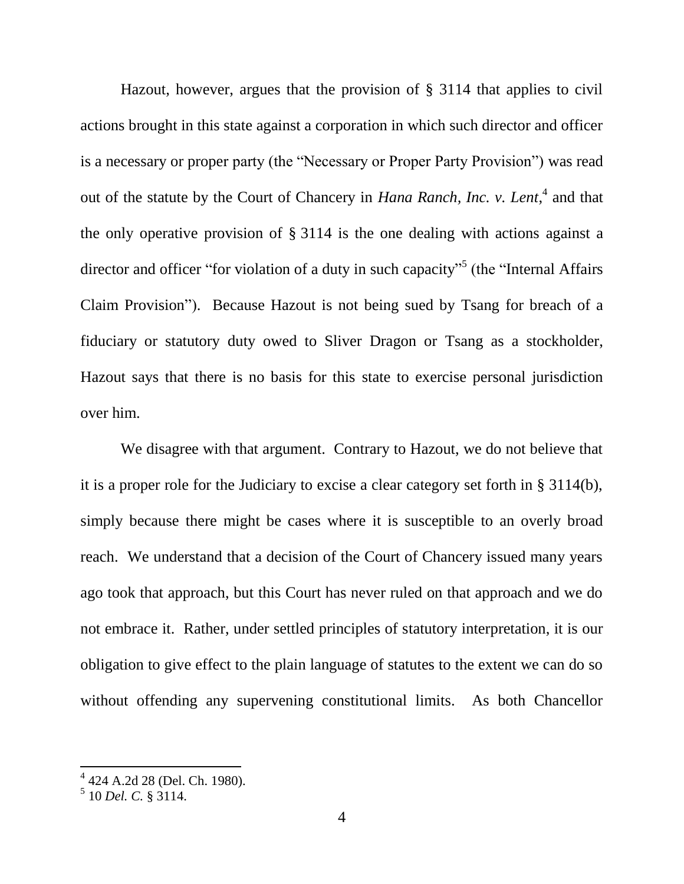Hazout, however, argues that the provision of § 3114 that applies to civil actions brought in this state against a corporation in which such director and officer is a necessary or proper party (the "Necessary or Proper Party Provision") was read out of the statute by the Court of Chancery in *Hana Ranch, Inc. v. Lent*,<sup>4</sup> and that the only operative provision of § 3114 is the one dealing with actions against a director and officer "for violation of a duty in such capacity"<sup>5</sup> (the "Internal Affairs Claim Provision"). Because Hazout is not being sued by Tsang for breach of a fiduciary or statutory duty owed to Sliver Dragon or Tsang as a stockholder, Hazout says that there is no basis for this state to exercise personal jurisdiction over him.

We disagree with that argument. Contrary to Hazout, we do not believe that it is a proper role for the Judiciary to excise a clear category set forth in § 3114(b), simply because there might be cases where it is susceptible to an overly broad reach. We understand that a decision of the Court of Chancery issued many years ago took that approach, but this Court has never ruled on that approach and we do not embrace it. Rather, under settled principles of statutory interpretation, it is our obligation to give effect to the plain language of statutes to the extent we can do so without offending any supervening constitutional limits. As both Chancellor

 4 424 A.2d 28 (Del. Ch. 1980).

<sup>5</sup> 10 *Del. C.* § 3114.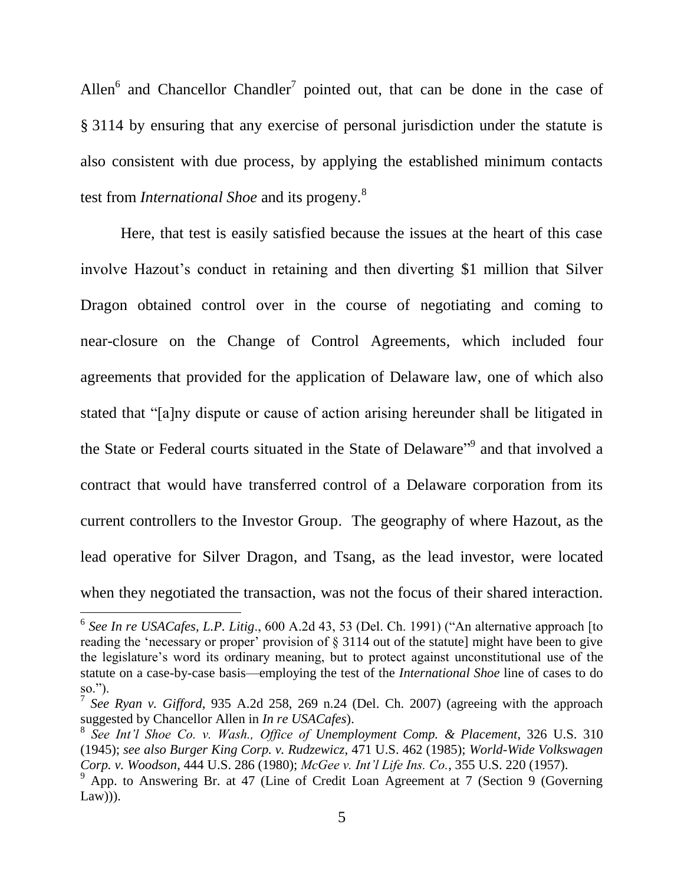<span id="page-5-1"></span><span id="page-5-0"></span>Allen<sup>6</sup> and Chancellor Chandler<sup>7</sup> pointed out, that can be done in the case of § 3114 by ensuring that any exercise of personal jurisdiction under the statute is also consistent with due process, by applying the established minimum contacts test from *International Shoe* and its progeny.<sup>8</sup>

<span id="page-5-2"></span>Here, that test is easily satisfied because the issues at the heart of this case involve Hazout's conduct in retaining and then diverting \$1 million that Silver Dragon obtained control over in the course of negotiating and coming to near-closure on the Change of Control Agreements, which included four agreements that provided for the application of Delaware law, one of which also stated that "[a]ny dispute or cause of action arising hereunder shall be litigated in the State or Federal courts situated in the State of Delaware<sup>"9</sup> and that involved a contract that would have transferred control of a Delaware corporation from its current controllers to the Investor Group. The geography of where Hazout, as the lead operative for Silver Dragon, and Tsang, as the lead investor, were located when they negotiated the transaction, was not the focus of their shared interaction.

<sup>&</sup>lt;sup>6</sup> See In re USACafes, L.P. Litig., 600 A.2d 43, 53 (Del. Ch. 1991) ("An alternative approach [to reading the 'necessary or proper' provision of  $\S 3114$  out of the statute] might have been to give the legislature's word its ordinary meaning, but to protect against unconstitutional use of the statute on a case-by-case basis—employing the test of the *International Shoe* line of cases to do so.").

<sup>7</sup> *See Ryan v. Gifford*, 935 A.2d 258, 269 n.24 (Del. Ch. 2007) (agreeing with the approach suggested by Chancellor Allen in *In re USACafes*).

<sup>8</sup> *See Int'l Shoe Co. v. Wash., Office of Unemployment Comp. & Placement*, 326 U.S. 310 (1945); *see also Burger King Corp. v. Rudzewicz*, 471 U.S. 462 (1985); *World-Wide Volkswagen Corp. v. Woodson*, 444 U.S. 286 (1980); *McGee v. Int'l Life Ins. Co.*, 355 U.S. 220 (1957).

 $9^9$  App. to Answering Br. at 47 (Line of Credit Loan Agreement at 7 (Section 9 (Governing  $Law$ )).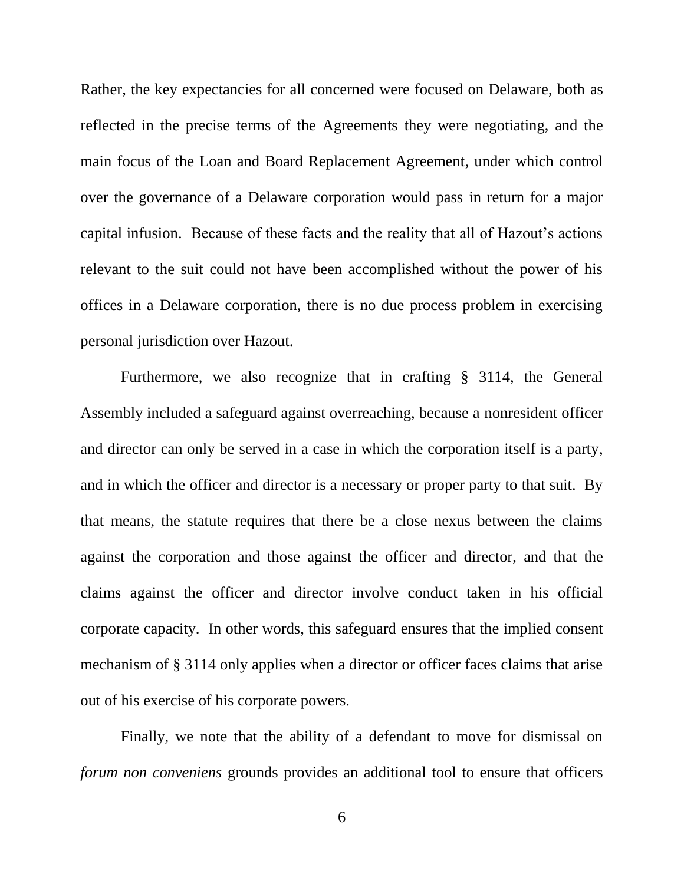Rather, the key expectancies for all concerned were focused on Delaware, both as reflected in the precise terms of the Agreements they were negotiating, and the main focus of the Loan and Board Replacement Agreement, under which control over the governance of a Delaware corporation would pass in return for a major capital infusion. Because of these facts and the reality that all of Hazout's actions relevant to the suit could not have been accomplished without the power of his offices in a Delaware corporation, there is no due process problem in exercising personal jurisdiction over Hazout.

Furthermore, we also recognize that in crafting § 3114, the General Assembly included a safeguard against overreaching, because a nonresident officer and director can only be served in a case in which the corporation itself is a party, and in which the officer and director is a necessary or proper party to that suit. By that means, the statute requires that there be a close nexus between the claims against the corporation and those against the officer and director, and that the claims against the officer and director involve conduct taken in his official corporate capacity. In other words, this safeguard ensures that the implied consent mechanism of § 3114 only applies when a director or officer faces claims that arise out of his exercise of his corporate powers.

Finally, we note that the ability of a defendant to move for dismissal on *forum non conveniens* grounds provides an additional tool to ensure that officers

6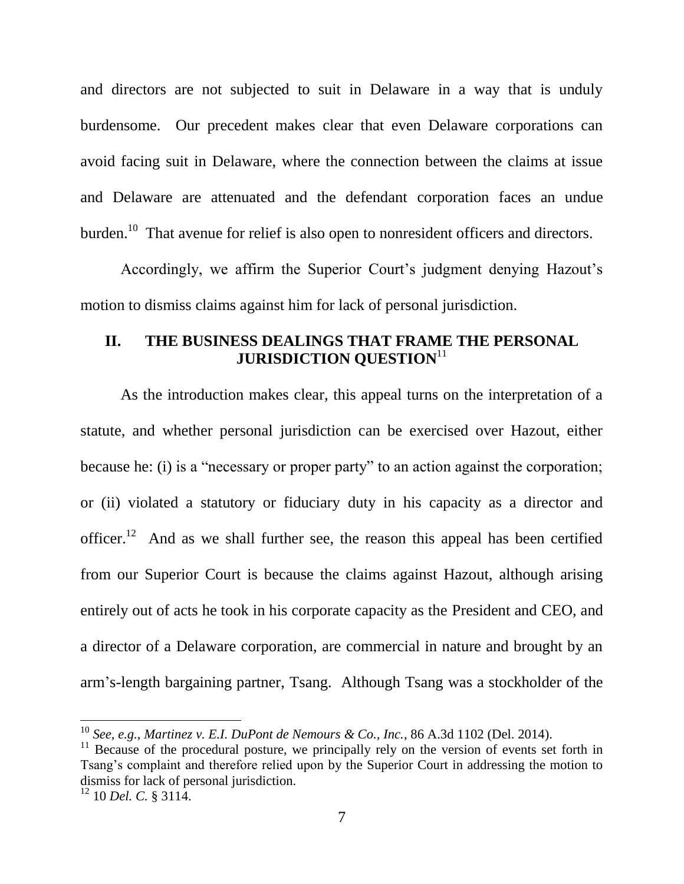and directors are not subjected to suit in Delaware in a way that is unduly burdensome. Our precedent makes clear that even Delaware corporations can avoid facing suit in Delaware, where the connection between the claims at issue and Delaware are attenuated and the defendant corporation faces an undue burden.<sup>10</sup> That avenue for relief is also open to nonresident officers and directors.

Accordingly, we affirm the Superior Court's judgment denying Hazout's motion to dismiss claims against him for lack of personal jurisdiction.

## **II. THE BUSINESS DEALINGS THAT FRAME THE PERSONAL JURISDICTION QUESTION** 11

As the introduction makes clear, this appeal turns on the interpretation of a statute, and whether personal jurisdiction can be exercised over Hazout, either because he: (i) is a "necessary or proper party" to an action against the corporation; or (ii) violated a statutory or fiduciary duty in his capacity as a director and officer.<sup>12</sup> And as we shall further see, the reason this appeal has been certified from our Superior Court is because the claims against Hazout, although arising entirely out of acts he took in his corporate capacity as the President and CEO, and a director of a Delaware corporation, are commercial in nature and brought by an arm's-length bargaining partner, Tsang. Although Tsang was a stockholder of the

l

<sup>10</sup> *See, e.g.*, *Martinez v. E.I. DuPont de Nemours & Co., Inc.*, 86 A.3d 1102 (Del. 2014).

 $11$  Because of the procedural posture, we principally rely on the version of events set forth in Tsang's complaint and therefore relied upon by the Superior Court in addressing the motion to dismiss for lack of personal jurisdiction.

<sup>12</sup> 10 *Del. C.* § 3114.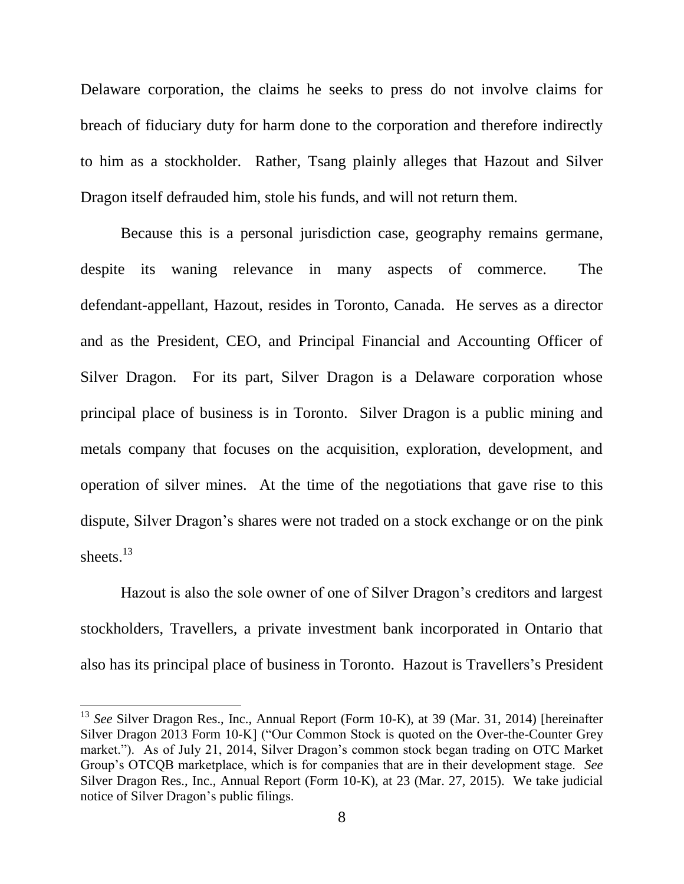Delaware corporation, the claims he seeks to press do not involve claims for breach of fiduciary duty for harm done to the corporation and therefore indirectly to him as a stockholder. Rather, Tsang plainly alleges that Hazout and Silver Dragon itself defrauded him, stole his funds, and will not return them.

Because this is a personal jurisdiction case, geography remains germane, despite its waning relevance in many aspects of commerce. The defendant-appellant, Hazout, resides in Toronto, Canada. He serves as a director and as the President, CEO, and Principal Financial and Accounting Officer of Silver Dragon. For its part, Silver Dragon is a Delaware corporation whose principal place of business is in Toronto. Silver Dragon is a public mining and metals company that focuses on the acquisition, exploration, development, and operation of silver mines. At the time of the negotiations that gave rise to this dispute, Silver Dragon's shares were not traded on a stock exchange or on the pink sheets.<sup>13</sup>

Hazout is also the sole owner of one of Silver Dragon's creditors and largest stockholders, Travellers, a private investment bank incorporated in Ontario that also has its principal place of business in Toronto. Hazout is Travellers's President

<sup>13</sup> *See* Silver Dragon Res., Inc., Annual Report (Form 10-K), at 39 (Mar. 31, 2014) [hereinafter Silver Dragon 2013 Form 10-K] ("Our Common Stock is quoted on the Over-the-Counter Grey market."). As of July 21, 2014, Silver Dragon's common stock began trading on OTC Market Group's OTCQB marketplace, which is for companies that are in their development stage. *See*  Silver Dragon Res., Inc., Annual Report (Form 10-K), at 23 (Mar. 27, 2015). We take judicial notice of Silver Dragon's public filings.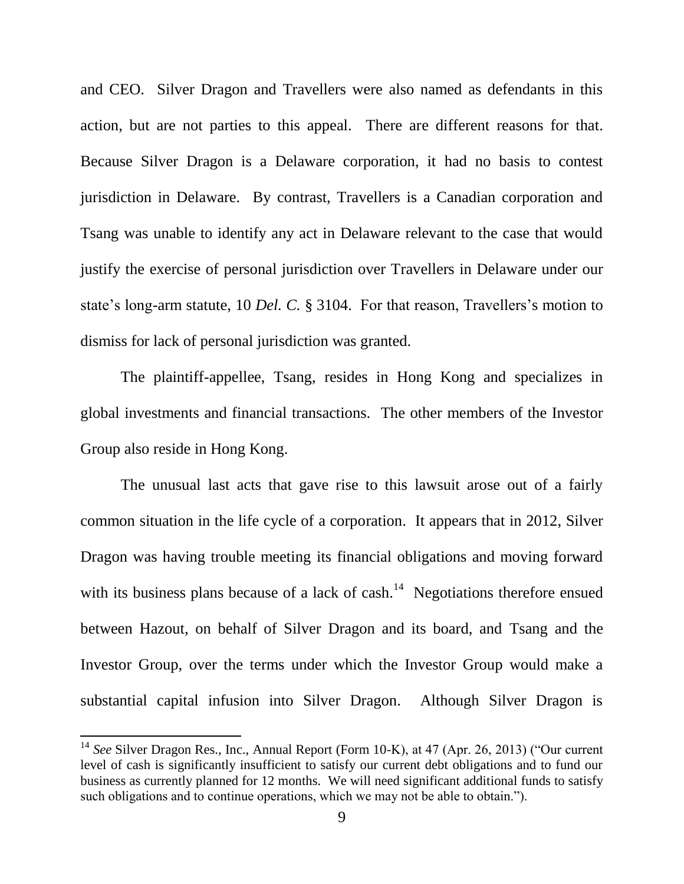and CEO. Silver Dragon and Travellers were also named as defendants in this action, but are not parties to this appeal. There are different reasons for that. Because Silver Dragon is a Delaware corporation, it had no basis to contest jurisdiction in Delaware. By contrast, Travellers is a Canadian corporation and Tsang was unable to identify any act in Delaware relevant to the case that would justify the exercise of personal jurisdiction over Travellers in Delaware under our state's long-arm statute, 10 *Del. C.* § 3104. For that reason, Travellers's motion to dismiss for lack of personal jurisdiction was granted.

The plaintiff-appellee, Tsang, resides in Hong Kong and specializes in global investments and financial transactions. The other members of the Investor Group also reside in Hong Kong.

The unusual last acts that gave rise to this lawsuit arose out of a fairly common situation in the life cycle of a corporation. It appears that in 2012, Silver Dragon was having trouble meeting its financial obligations and moving forward with its business plans because of a lack of cash.<sup>14</sup> Negotiations therefore ensued between Hazout, on behalf of Silver Dragon and its board, and Tsang and the Investor Group, over the terms under which the Investor Group would make a substantial capital infusion into Silver Dragon. Although Silver Dragon is

<sup>&</sup>lt;sup>14</sup> *See* Silver Dragon Res., Inc., Annual Report (Form 10-K), at 47 (Apr. 26, 2013) ("Our current" level of cash is significantly insufficient to satisfy our current debt obligations and to fund our business as currently planned for 12 months. We will need significant additional funds to satisfy such obligations and to continue operations, which we may not be able to obtain.").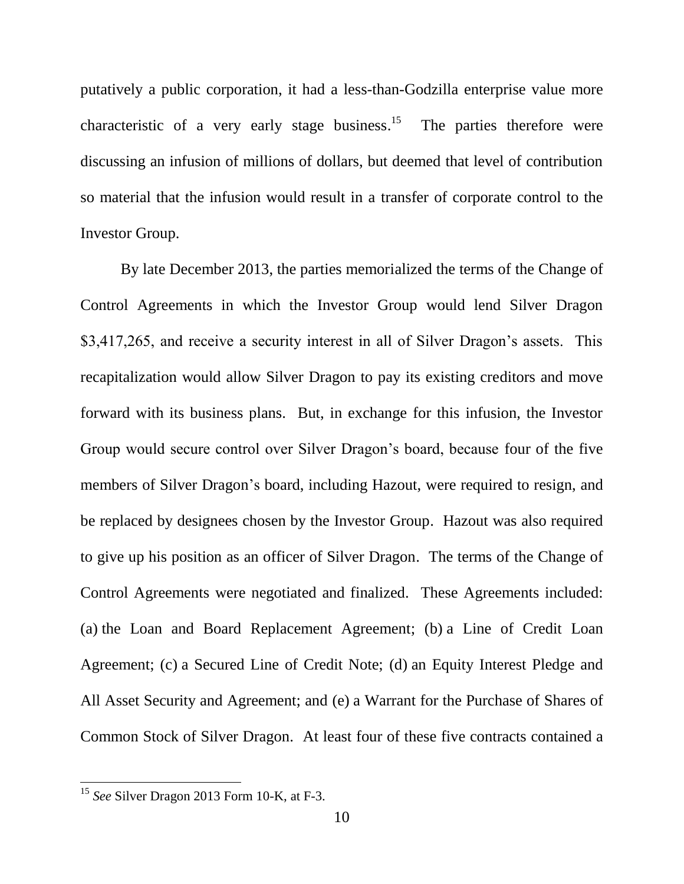putatively a public corporation, it had a less-than-Godzilla enterprise value more characteristic of a very early stage business.<sup>15</sup> The parties therefore were discussing an infusion of millions of dollars, but deemed that level of contribution so material that the infusion would result in a transfer of corporate control to the Investor Group.

By late December 2013, the parties memorialized the terms of the Change of Control Agreements in which the Investor Group would lend Silver Dragon \$3,417,265, and receive a security interest in all of Silver Dragon's assets. This recapitalization would allow Silver Dragon to pay its existing creditors and move forward with its business plans. But, in exchange for this infusion, the Investor Group would secure control over Silver Dragon's board, because four of the five members of Silver Dragon's board, including Hazout, were required to resign, and be replaced by designees chosen by the Investor Group. Hazout was also required to give up his position as an officer of Silver Dragon. The terms of the Change of Control Agreements were negotiated and finalized. These Agreements included: (a) the Loan and Board Replacement Agreement; (b) a Line of Credit Loan Agreement; (c) a Secured Line of Credit Note; (d) an Equity Interest Pledge and All Asset Security and Agreement; and (e) a Warrant for the Purchase of Shares of Common Stock of Silver Dragon. At least four of these five contracts contained a

<sup>15</sup> *See* Silver Dragon 2013 Form 10-K, at F-3.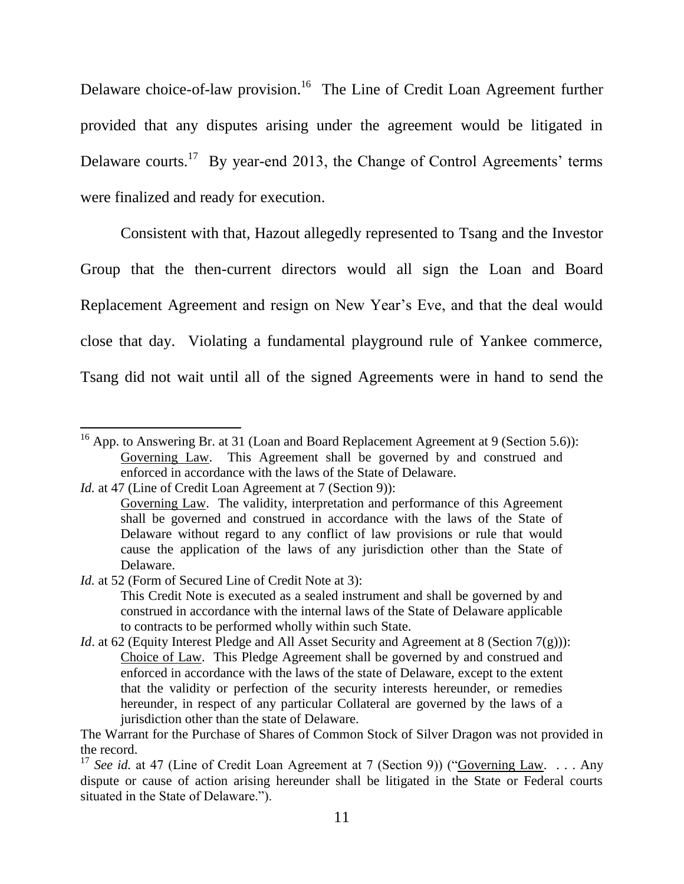Delaware choice-of-law provision.<sup>16</sup> The Line of Credit Loan Agreement further provided that any disputes arising under the agreement would be litigated in Delaware courts.<sup>17</sup> By year-end 2013, the Change of Control Agreements' terms were finalized and ready for execution.

Consistent with that, Hazout allegedly represented to Tsang and the Investor Group that the then-current directors would all sign the Loan and Board Replacement Agreement and resign on New Year's Eve, and that the deal would close that day. Violating a fundamental playground rule of Yankee commerce, Tsang did not wait until all of the signed Agreements were in hand to send the

*Id.* at 47 (Line of Credit Loan Agreement at 7 (Section 9)):

 $\overline{\phantom{a}}$ 

*Id.* at 52 (Form of Secured Line of Credit Note at 3):

This Credit Note is executed as a sealed instrument and shall be governed by and construed in accordance with the internal laws of the State of Delaware applicable to contracts to be performed wholly within such State.

*Id.* at 62 (Equity Interest Pledge and All Asset Security and Agreement at 8 (Section 7(g))): Choice of Law. This Pledge Agreement shall be governed by and construed and enforced in accordance with the laws of the state of Delaware, except to the extent that the validity or perfection of the security interests hereunder, or remedies hereunder, in respect of any particular Collateral are governed by the laws of a jurisdiction other than the state of Delaware.

The Warrant for the Purchase of Shares of Common Stock of Silver Dragon was not provided in the record.

<sup>&</sup>lt;sup>16</sup> App. to Answering Br. at 31 (Loan and Board Replacement Agreement at 9 (Section 5.6)): Governing Law. This Agreement shall be governed by and construed and enforced in accordance with the laws of the State of Delaware.

Governing Law. The validity, interpretation and performance of this Agreement shall be governed and construed in accordance with the laws of the State of Delaware without regard to any conflict of law provisions or rule that would cause the application of the laws of any jurisdiction other than the State of Delaware.

<sup>&</sup>lt;sup>17</sup> *See id.* at 47 (Line of Credit Loan Agreement at 7 (Section 9)) ("Governing Law. ... Any dispute or cause of action arising hereunder shall be litigated in the State or Federal courts situated in the State of Delaware.").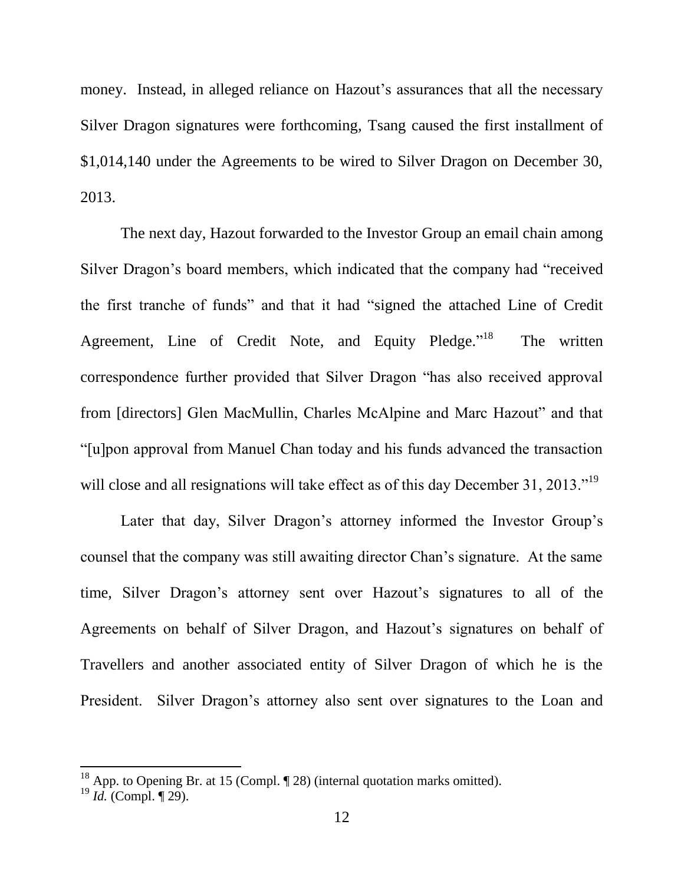money. Instead, in alleged reliance on Hazout's assurances that all the necessary Silver Dragon signatures were forthcoming, Tsang caused the first installment of \$1,014,140 under the Agreements to be wired to Silver Dragon on December 30, 2013.

The next day, Hazout forwarded to the Investor Group an email chain among Silver Dragon's board members, which indicated that the company had "received" the first tranche of funds" and that it had "signed the attached Line of Credit Agreement, Line of Credit Note, and Equity Pledge."<sup>18</sup> The written correspondence further provided that Silver Dragon "has also received approval from [directors] Glen MacMullin, Charles McAlpine and Marc Hazout" and that ―[u]pon approval from Manuel Chan today and his funds advanced the transaction will close and all resignations will take effect as of this day December 31, 2013.<sup> $19$ </sup>

Later that day, Silver Dragon's attorney informed the Investor Group's counsel that the company was still awaiting director Chan's signature. At the same time, Silver Dragon's attorney sent over Hazout's signatures to all of the Agreements on behalf of Silver Dragon, and Hazout's signatures on behalf of Travellers and another associated entity of Silver Dragon of which he is the President. Silver Dragon's attorney also sent over signatures to the Loan and

<sup>&</sup>lt;sup>18</sup> App. to Opening Br. at 15 (Compl.  $\P$  28) (internal quotation marks omitted).

<sup>19</sup> *Id.* (Compl. ¶ 29).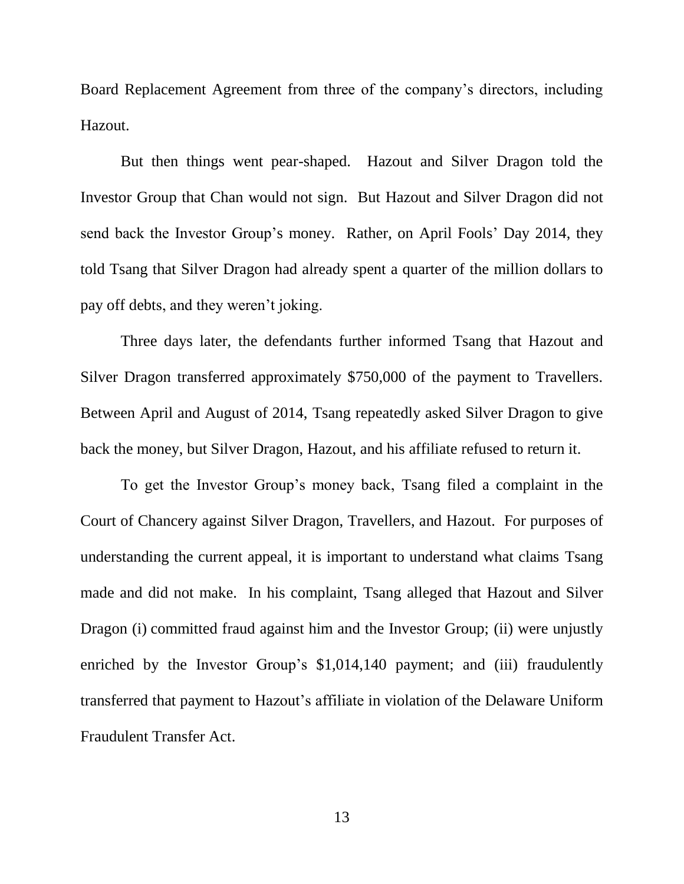Board Replacement Agreement from three of the company's directors, including Hazout.

But then things went pear-shaped. Hazout and Silver Dragon told the Investor Group that Chan would not sign. But Hazout and Silver Dragon did not send back the Investor Group's money. Rather, on April Fools' Day 2014, they told Tsang that Silver Dragon had already spent a quarter of the million dollars to pay off debts, and they weren't joking.

Three days later, the defendants further informed Tsang that Hazout and Silver Dragon transferred approximately \$750,000 of the payment to Travellers. Between April and August of 2014, Tsang repeatedly asked Silver Dragon to give back the money, but Silver Dragon, Hazout, and his affiliate refused to return it.

To get the Investor Group's money back, Tsang filed a complaint in the Court of Chancery against Silver Dragon, Travellers, and Hazout. For purposes of understanding the current appeal, it is important to understand what claims Tsang made and did not make. In his complaint, Tsang alleged that Hazout and Silver Dragon (i) committed fraud against him and the Investor Group; (ii) were unjustly enriched by the Investor Group's \$1,014,140 payment; and (iii) fraudulently transferred that payment to Hazout's affiliate in violation of the Delaware Uniform Fraudulent Transfer Act.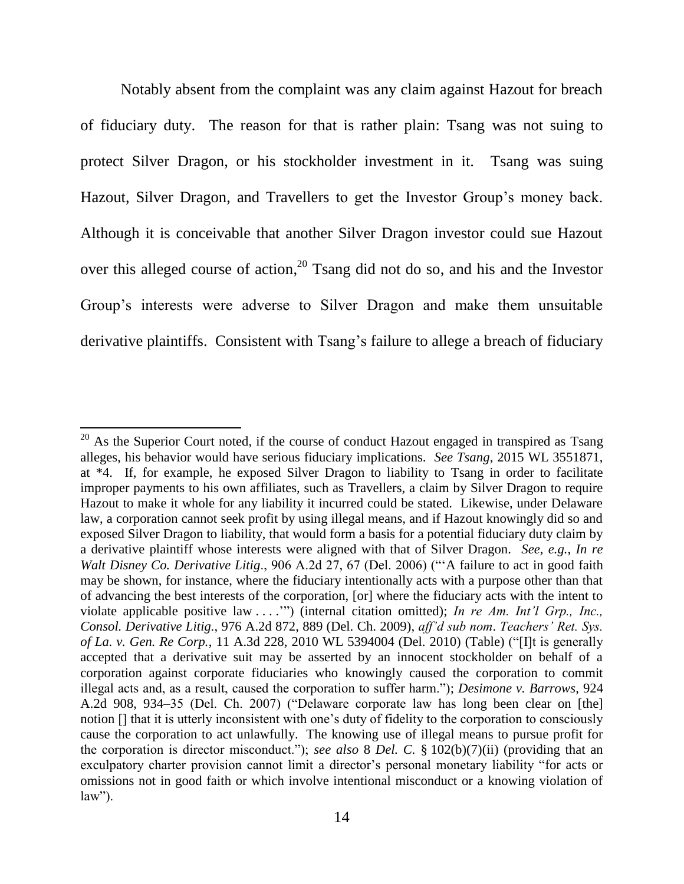Notably absent from the complaint was any claim against Hazout for breach of fiduciary duty. The reason for that is rather plain: Tsang was not suing to protect Silver Dragon, or his stockholder investment in it. Tsang was suing Hazout, Silver Dragon, and Travellers to get the Investor Group's money back. Although it is conceivable that another Silver Dragon investor could sue Hazout over this alleged course of action,<sup>20</sup> Tsang did not do so, and his and the Investor Group's interests were adverse to Silver Dragon and make them unsuitable derivative plaintiffs. Consistent with Tsang's failure to allege a breach of fiduciary

 $^{20}$  As the Superior Court noted, if the course of conduct Hazout engaged in transpired as Tsang alleges, his behavior would have serious fiduciary implications. *See Tsang*, 2015 WL 3551871, at \*4. If, for example, he exposed Silver Dragon to liability to Tsang in order to facilitate improper payments to his own affiliates, such as Travellers, a claim by Silver Dragon to require Hazout to make it whole for any liability it incurred could be stated. Likewise, under Delaware law, a corporation cannot seek profit by using illegal means, and if Hazout knowingly did so and exposed Silver Dragon to liability, that would form a basis for a potential fiduciary duty claim by a derivative plaintiff whose interests were aligned with that of Silver Dragon. *See, e.g.*, *In re Walt Disney Co. Derivative Litig.*, 906 A.2d 27, 67 (Del. 2006) ("A failure to act in good faith may be shown, for instance, where the fiduciary intentionally acts with a purpose other than that of advancing the best interests of the corporation, [or] where the fiduciary acts with the intent to violate applicable positive law . . . ."") (internal citation omitted); *In re Am. Int'l Grp., Inc., Consol. Derivative Litig.*, 976 A.2d 872, 889 (Del. Ch. 2009), *aff'd sub nom*. *Teachers' Ret. Sys. of La. v. Gen. Re Corp.*, 11 A.3d 228, 2010 WL 5394004 (Del. 2010) (Table) ("[I]t is generally accepted that a derivative suit may be asserted by an innocent stockholder on behalf of a corporation against corporate fiduciaries who knowingly caused the corporation to commit illegal acts and, as a result, caused the corporation to suffer harm."); *Desimone v. Barrows*, 924 A.2d 908, 934–35 (Del. Ch. 2007) ("Delaware corporate law has long been clear on [the] notion [] that it is utterly inconsistent with one's duty of fidelity to the corporation to consciously cause the corporation to act unlawfully. The knowing use of illegal means to pursue profit for the corporation is director misconduct.‖); *see also* 8 *Del. C.* § 102(b)(7)(ii) (providing that an exculpatory charter provision cannot limit a director's personal monetary liability "for acts or omissions not in good faith or which involve intentional misconduct or a knowing violation of  $law$ ").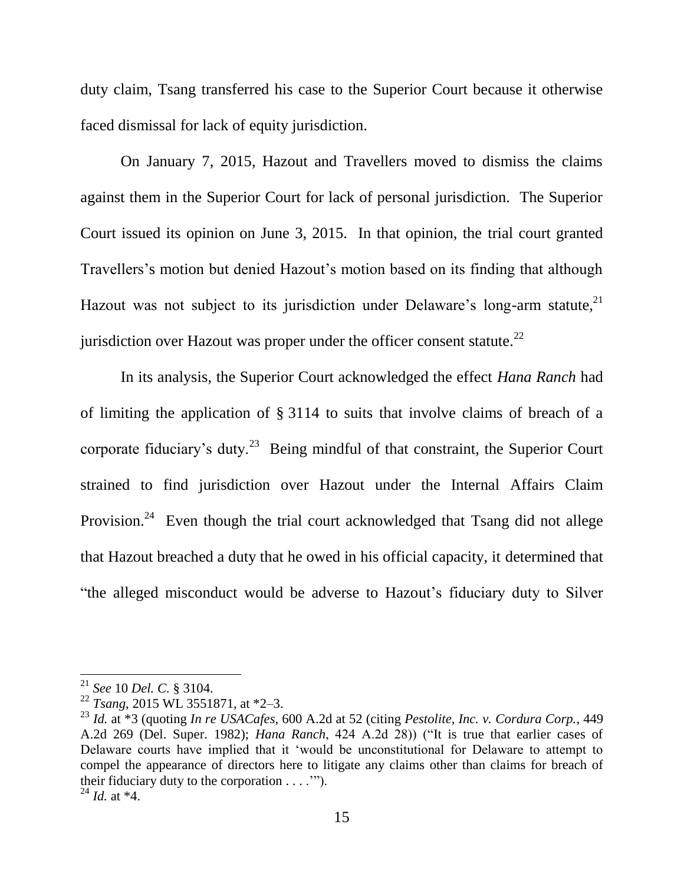duty claim, Tsang transferred his case to the Superior Court because it otherwise faced dismissal for lack of equity jurisdiction.

On January 7, 2015, Hazout and Travellers moved to dismiss the claims against them in the Superior Court for lack of personal jurisdiction. The Superior Court issued its opinion on June 3, 2015. In that opinion, the trial court granted Travellers's motion but denied Hazout's motion based on its finding that although Hazout was not subject to its jurisdiction under Delaware's long-arm statute,  $2<sup>1</sup>$ jurisdiction over Hazout was proper under the officer consent statute. $^{22}$ 

In its analysis, the Superior Court acknowledged the effect *Hana Ranch* had of limiting the application of § 3114 to suits that involve claims of breach of a corporate fiduciary's duty.<sup>23</sup> Being mindful of that constraint, the Superior Court strained to find jurisdiction over Hazout under the Internal Affairs Claim Provision.<sup>24</sup> Even though the trial court acknowledged that Tsang did not allege that Hazout breached a duty that he owed in his official capacity, it determined that "the alleged misconduct would be adverse to Hazout's fiduciary duty to Silver

<sup>21</sup> *See* 10 *Del. C.* § 3104.

<sup>22</sup> *Tsang*, 2015 WL 3551871, at \*2–3.

<sup>23</sup> *Id.* at \*3 (quoting *In re USACafes*, 600 A.2d at 52 (citing *Pestolite, Inc. v. Cordura Corp.*, 449 A.2d 269 (Del. Super. 1982); *Hana Ranch*, 424 A.2d 28)) ("It is true that earlier cases of Delaware courts have implied that it 'would be unconstitutional for Delaware to attempt to compel the appearance of directors here to litigate any claims other than claims for breach of their fiduciary duty to the corporation . . . .'‖).  $^{24}$  *Id.* at  $*4$ .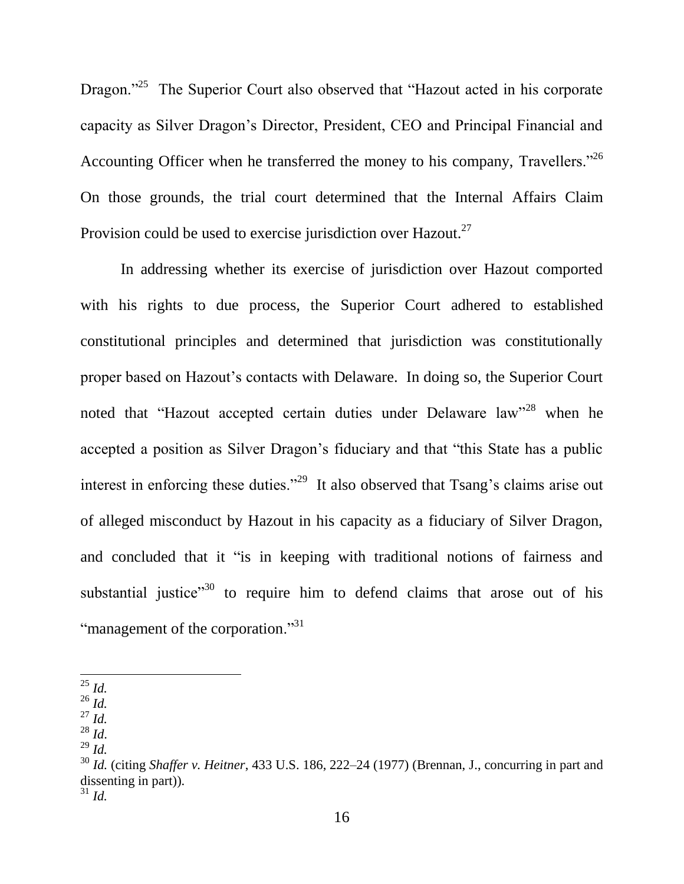Dragon."<sup>25</sup> The Superior Court also observed that "Hazout acted in his corporate capacity as Silver Dragon's Director, President, CEO and Principal Financial and Accounting Officer when he transferred the money to his company, Travellers.<sup> $26$ </sup> On those grounds, the trial court determined that the Internal Affairs Claim Provision could be used to exercise jurisdiction over Hazout. $27$ 

In addressing whether its exercise of jurisdiction over Hazout comported with his rights to due process, the Superior Court adhered to established constitutional principles and determined that jurisdiction was constitutionally proper based on Hazout's contacts with Delaware. In doing so, the Superior Court noted that "Hazout accepted certain duties under Delaware law"<sup>28</sup> when he accepted a position as Silver Dragon's fiduciary and that "this State has a public interest in enforcing these duties."<sup>29</sup> It also observed that Tsang's claims arise out of alleged misconduct by Hazout in his capacity as a fiduciary of Silver Dragon, and concluded that it "is in keeping with traditional notions of fairness and substantial justice<sup> $30$ </sup> to require him to defend claims that arose out of his "management of the corporation."<sup>31</sup>

 $\overline{\phantom{a}}$ 

<sup>27</sup> *Id.*

<sup>25</sup> *Id.* 

<sup>26</sup> *Id.*

<sup>28</sup> *Id*. <sup>29</sup> *Id.*

<sup>30</sup> *Id.* (citing *Shaffer v. Heitner*, [433 U.S. 186, 222–24 \(1977\)](https://a.next.westlaw.com/Link/Document/FullText?findType=Y&serNum=1977118837&pubNum=0000780&originatingDoc=I995980f00e1511e599358612e0bf9496&refType=RP&fi=co_pp_sp_780_222&originationContext=document&transitionType=DocumentItem&contextData=(sc.UserEnteredCitation)#co_pp_sp_780_222) (Brennan, J., concurring in part and dissenting in part)).  $31$  *Id.* 

<sup>16</sup>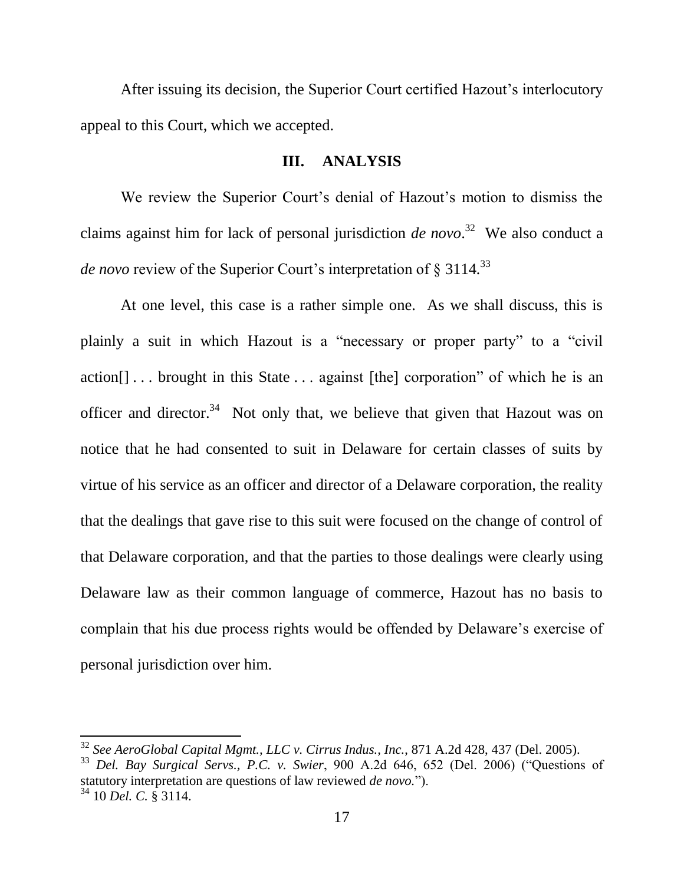After issuing its decision, the Superior Court certified Hazout's interlocutory appeal to this Court, which we accepted.

### **III. ANALYSIS**

We review the Superior Court's denial of Hazout's motion to dismiss the claims against him for lack of personal jurisdiction *de novo*. 32 We also conduct a *de novo* review of the Superior Court's interpretation of § 3114*.* 33

At one level, this case is a rather simple one. As we shall discuss, this is plainly a suit in which Hazout is a "necessary or proper party" to a "civil" action $[] \ldots$  brought in this State  $\ldots$  against [the] corporation" of which he is an officer and director.<sup>34</sup> Not only that, we believe that given that Hazout was on notice that he had consented to suit in Delaware for certain classes of suits by virtue of his service as an officer and director of a Delaware corporation, the reality that the dealings that gave rise to this suit were focused on the change of control of that Delaware corporation, and that the parties to those dealings were clearly using Delaware law as their common language of commerce, Hazout has no basis to complain that his due process rights would be offended by Delaware's exercise of personal jurisdiction over him.

<sup>32</sup> *See AeroGlobal Capital Mgmt., LLC v. Cirrus Indus., Inc.*, 871 A.2d 428, 437 (Del. 2005).

<sup>&</sup>lt;sup>33</sup> *Del. Bay Surgical Servs., P.C. v. Swier*, 900 A.2d 646, 652 (Del. 2006) ("Questions of statutory interpretation are questions of law reviewed *de novo*."). <sup>34</sup> 10 *Del. C.* § 3114.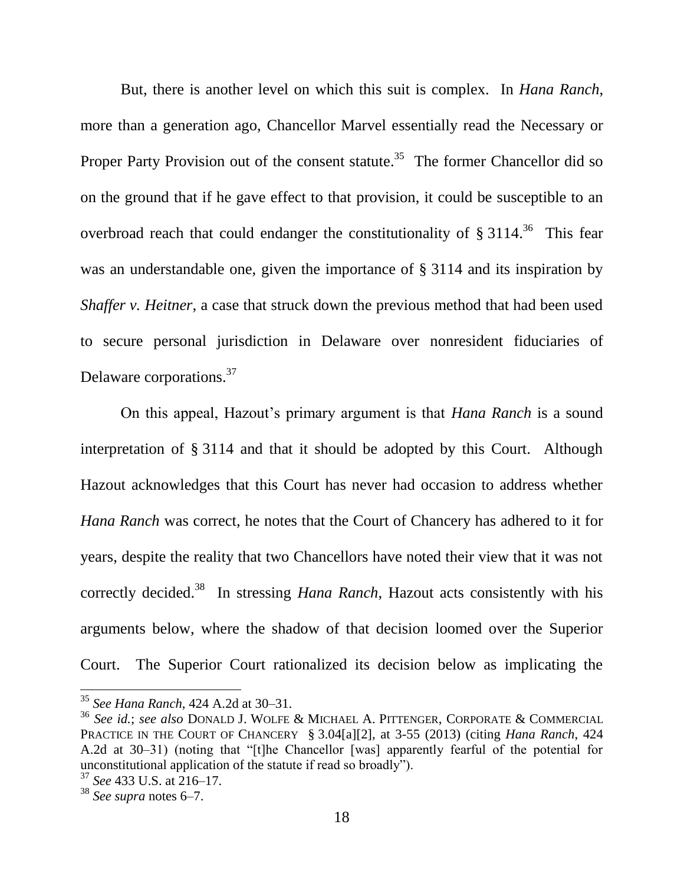But, there is another level on which this suit is complex. In *Hana Ranch*, more than a generation ago, Chancellor Marvel essentially read the Necessary or Proper Party Provision out of the consent statute.<sup>35</sup> The former Chancellor did so on the ground that if he gave effect to that provision, it could be susceptible to an overbroad reach that could endanger the constitutionality of  $\S 3114$ .<sup>36</sup> This fear was an understandable one, given the importance of § 3114 and its inspiration by *Shaffer v. Heitner*, a case that struck down the previous method that had been used to secure personal jurisdiction in Delaware over nonresident fiduciaries of Delaware corporations.<sup>37</sup>

On this appeal, Hazout's primary argument is that *Hana Ranch* is a sound interpretation of § 3114 and that it should be adopted by this Court. Although Hazout acknowledges that this Court has never had occasion to address whether *Hana Ranch* was correct, he notes that the Court of Chancery has adhered to it for years, despite the reality that two Chancellors have noted their view that it was not correctly decided.<sup>38</sup> In stressing *Hana Ranch*, Hazout acts consistently with his arguments below, where the shadow of that decision loomed over the Superior Court. The Superior Court rationalized its decision below as implicating the

<sup>35</sup> *See Hana Ranch*, 424 A.2d at 30–31.

<sup>36</sup> *See id.*; *see also* DONALD J. WOLFE & MICHAEL A. PITTENGER, CORPORATE & COMMERCIAL PRACTICE IN THE COURT OF CHANCERY § 3.04[a][2], at 3-55 (2013) (citing *Hana Ranch*, 424 A.2d at 30–31) (noting that "[t]he Chancellor [was] apparently fearful of the potential for unconstitutional application of the statute if read so broadly").

<sup>37</sup> *See* 433 U.S. at 216–17.

<sup>38</sup> *See supra* notes [6–](#page-5-0)[7.](#page-5-1)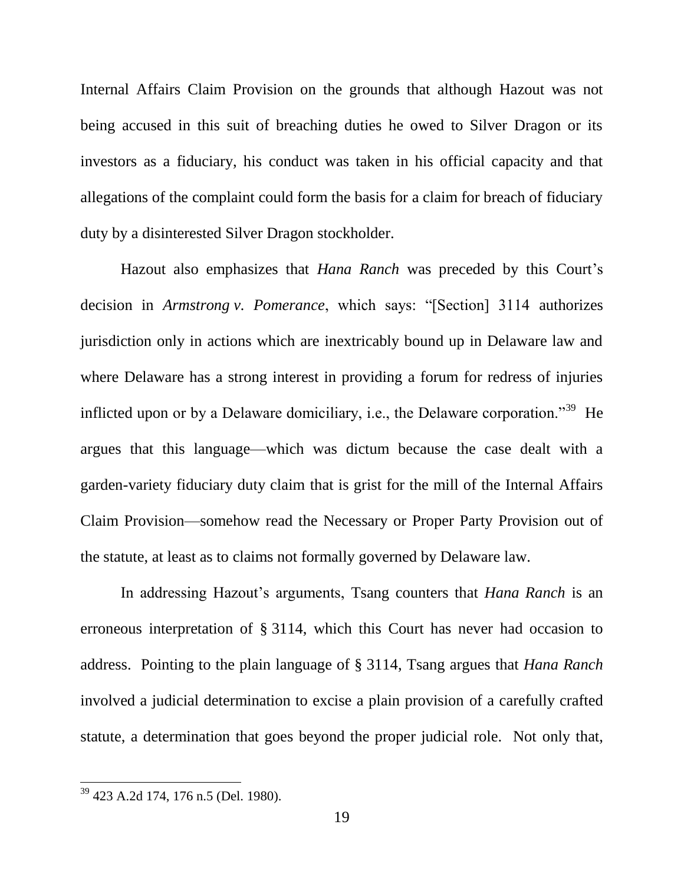Internal Affairs Claim Provision on the grounds that although Hazout was not being accused in this suit of breaching duties he owed to Silver Dragon or its investors as a fiduciary, his conduct was taken in his official capacity and that allegations of the complaint could form the basis for a claim for breach of fiduciary duty by a disinterested Silver Dragon stockholder.

Hazout also emphasizes that *Hana Ranch* was preceded by this Court's decision in *Armstrong v. Pomerance*, which says: "[Section] 3114 authorizes jurisdiction only in actions which are inextricably bound up in Delaware law and where Delaware has a strong interest in providing a forum for redress of injuries inflicted upon or by a Delaware domiciliary, i.e., the Delaware corporation."<sup>39</sup> He argues that this language—which was dictum because the case dealt with a garden-variety fiduciary duty claim that is grist for the mill of the Internal Affairs Claim Provision—somehow read the Necessary or Proper Party Provision out of the statute, at least as to claims not formally governed by Delaware law.

In addressing Hazout's arguments, Tsang counters that *Hana Ranch* is an erroneous interpretation of § 3114, which this Court has never had occasion to address. Pointing to the plain language of § 3114, Tsang argues that *Hana Ranch* involved a judicial determination to excise a plain provision of a carefully crafted statute, a determination that goes beyond the proper judicial role. Not only that,

<sup>&</sup>lt;sup>39</sup> 423 A.2d 174, 176 n.5 (Del. 1980).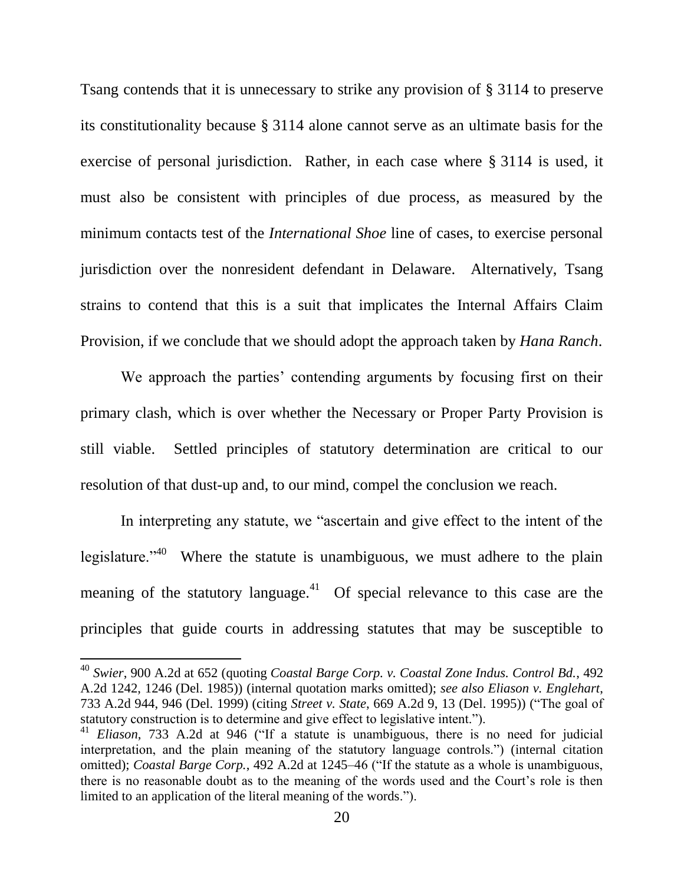Tsang contends that it is unnecessary to strike any provision of § 3114 to preserve its constitutionality because § 3114 alone cannot serve as an ultimate basis for the exercise of personal jurisdiction. Rather, in each case where § 3114 is used, it must also be consistent with principles of due process, as measured by the minimum contacts test of the *International Shoe* line of cases, to exercise personal jurisdiction over the nonresident defendant in Delaware. Alternatively, Tsang strains to contend that this is a suit that implicates the Internal Affairs Claim Provision, if we conclude that we should adopt the approach taken by *Hana Ranch*.

We approach the parties' contending arguments by focusing first on their primary clash, which is over whether the Necessary or Proper Party Provision is still viable. Settled principles of statutory determination are critical to our resolution of that dust-up and, to our mind, compel the conclusion we reach.

In interpreting any statute, we "ascertain and give effect to the intent of the legislature. $140$  Where the statute is unambiguous, we must adhere to the plain meaning of the statutory language. $41$  Of special relevance to this case are the principles that guide courts in addressing statutes that may be susceptible to

<sup>40</sup> *Swier*, 900 A.2d at 652 (quoting *Coastal Barge Corp. v. Coastal Zone Indus. Control Bd.*, 492 A.2d 1242, 1246 (Del. 1985)) (internal quotation marks omitted); *see also Eliason v. Englehart*, 733 A.2d 944, 946 (Del. 1999) (citing *Street v. State*, 669 A.2d 9, 13 (Del. 1995)) ("The goal of statutory construction is to determine and give effect to legislative intent.").

<sup>&</sup>lt;sup>41</sup> *Eliason*, 733 A.2d at 946 ("If a statute is unambiguous, there is no need for judicial interpretation, and the plain meaning of the statutory language controls.") (internal citation omitted); *Coastal Barge Corp.*, 492 A.2d at 1245–46 ("If the statute as a whole is unambiguous, there is no reasonable doubt as to the meaning of the words used and the Court's role is then limited to an application of the literal meaning of the words.").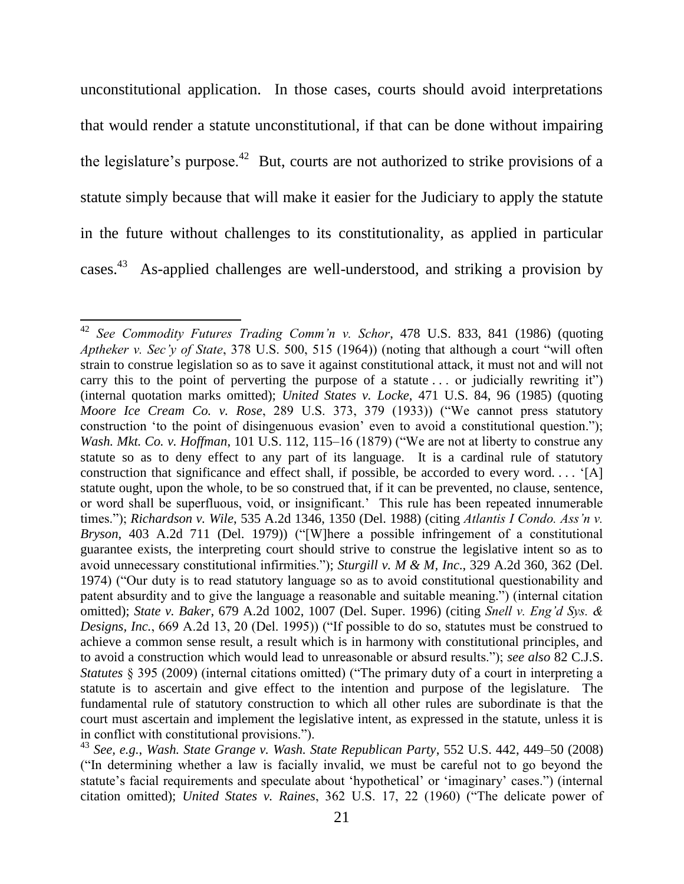unconstitutional application. In those cases, courts should avoid interpretations that would render a statute unconstitutional, if that can be done without impairing the legislature's purpose.<sup>42</sup> But, courts are not authorized to strike provisions of a statute simply because that will make it easier for the Judiciary to apply the statute in the future without challenges to its constitutionality, as applied in particular cases.<sup>43</sup> As-applied challenges are well-understood, and striking a provision by

l

<sup>42</sup> *See Commodity Futures Trading Comm'n v. Schor*, 478 U.S. 833, 841 (1986) (quoting *Aptheker v. Sec'y of State*, 378 U.S. 500, 515 (1964)) (noting that although a court "will often strain to construe legislation so as to save it against constitutional attack, it must not and will not carry this to the point of perverting the purpose of a statute  $\ldots$  or judicially rewriting it") (internal quotation marks omitted); *United States v. Locke*, 471 U.S. 84, 96 (1985) (quoting *Moore Ice Cream Co. v. Rose*, 289 U.S. 373, 379 (1933)) ("We cannot press statutory construction 'to the point of disingenuous evasion' even to avoid a constitutional question."); *Wash. Mkt. Co. v. Hoffman,* 101 U.S. 112, 115–16 (1879) ("We are not at liberty to construe any statute so as to deny effect to any part of its language. It is a cardinal rule of statutory construction that significance and effect shall, if possible, be accorded to every word.... '[A] statute ought, upon the whole, to be so construed that, if it can be prevented, no clause, sentence, or word shall be superfluous, void, or insignificant.' This rule has been repeated innumerable times.‖); *Richardson v. Wile*, 535 A.2d 1346, 1350 (Del. 1988) (citing *Atlantis I Condo. Ass'n v. Bryson*, 403 A.2d 711 (Del. 1979)) ("[W]here a possible infringement of a constitutional guarantee exists, the interpreting court should strive to construe the legislative intent so as to avoid unnecessary constitutional infirmities.‖); *Sturgill v. M & M, Inc*., 329 A.2d 360, 362 (Del. 1974) ("Our duty is to read statutory language so as to avoid constitutional questionability and patent absurdity and to give the language a reasonable and suitable meaning.") (internal citation omitted); *State v. Baker*, 679 A.2d 1002, 1007 (Del. Super. 1996) (citing *Snell v. Eng'd Sys. & Designs, Inc.*, 669 A.2d 13, 20 (Del. 1995)) ("If possible to do so, statutes must be construed to achieve a common sense result, a result which is in harmony with constitutional principles, and to avoid a construction which would lead to unreasonable or absurd results.‖); *see also* 82 C.J.S. *Statutes* § 395 (2009) (internal citations omitted) ("The primary duty of a court in interpreting a statute is to ascertain and give effect to the intention and purpose of the legislature. The fundamental rule of statutory construction to which all other rules are subordinate is that the court must ascertain and implement the legislative intent, as expressed in the statute, unless it is in conflict with constitutional provisions.").

<sup>43</sup> *See, e.g.*, *Wash. State Grange v. Wash. State Republican Party*, 552 U.S. 442, 449–50 (2008) (―In determining whether a law is facially invalid, we must be careful not to go beyond the statute's facial requirements and speculate about 'hypothetical' or 'imaginary' cases.") (internal citation omitted); *United States v. Raines*, 362 U.S. 17, 22 (1960) ("The delicate power of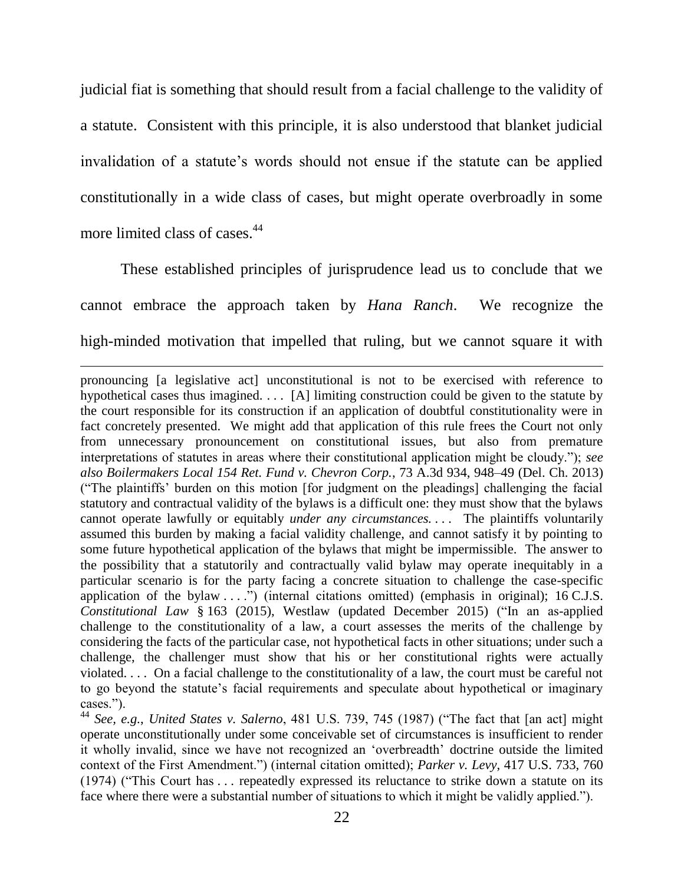judicial fiat is something that should result from a facial challenge to the validity of a statute. Consistent with this principle, it is also understood that blanket judicial invalidation of a statute's words should not ensue if the statute can be applied constitutionally in a wide class of cases, but might operate overbroadly in some more limited class of cases.<sup>44</sup>

These established principles of jurisprudence lead us to conclude that we cannot embrace the approach taken by *Hana Ranch*. We recognize the high-minded motivation that impelled that ruling, but we cannot square it with

 $\overline{\phantom{a}}$ 

pronouncing [a legislative act] unconstitutional is not to be exercised with reference to hypothetical cases thus imagined. . . . [A] limiting construction could be given to the statute by the court responsible for its construction if an application of doubtful constitutionality were in fact concretely presented. We might add that application of this rule frees the Court not only from unnecessary pronouncement on constitutional issues, but also from premature interpretations of statutes in areas where their constitutional application might be cloudy."); *see also Boilermakers Local 154 Ret. Fund v. Chevron Corp.*, 73 A.3d 934, 948–49 (Del. Ch. 2013) (―The plaintiffs' burden on this motion [for judgment on the pleadings] challenging the facial statutory and contractual validity of the bylaws is a difficult one: they must show that the bylaws cannot operate lawfully or equitably *under any circumstances. . . .* The plaintiffs voluntarily assumed this burden by making a facial validity challenge, and cannot satisfy it by pointing to some future hypothetical application of the bylaws that might be impermissible. The answer to the possibility that a statutorily and contractually valid bylaw may operate inequitably in a particular scenario is for the party facing a concrete situation to challenge the case-specific application of the bylaw  $\dots$ .") (internal citations omitted) (emphasis in original); 16 C.J.S. *Constitutional Law* § 163 (2015), Westlaw (updated December 2015) ("In an as-applied challenge to the constitutionality of a law, a court assesses the merits of the challenge by considering the facts of the particular case, not hypothetical facts in other situations; under such a challenge, the challenger must show that his or her constitutional rights were actually violated. . . . On a facial challenge to the constitutionality of a law, the court must be careful not to go beyond the statute's facial requirements and speculate about hypothetical or imaginary cases.").

<sup>44</sup> See, e.g., *United States v. Salerno*, 481 U.S. 739, 745 (1987) ("The fact that [an act] might operate unconstitutionally under some conceivable set of circumstances is insufficient to render it wholly invalid, since we have not recognized an 'overbreadth' doctrine outside the limited context of the First Amendment.‖) (internal citation omitted); *Parker v. Levy*, 417 U.S. 733, 760 (1974) ("This Court has  $\dots$  repeatedly expressed its reluctance to strike down a statute on its face where there were a substantial number of situations to which it might be validly applied.").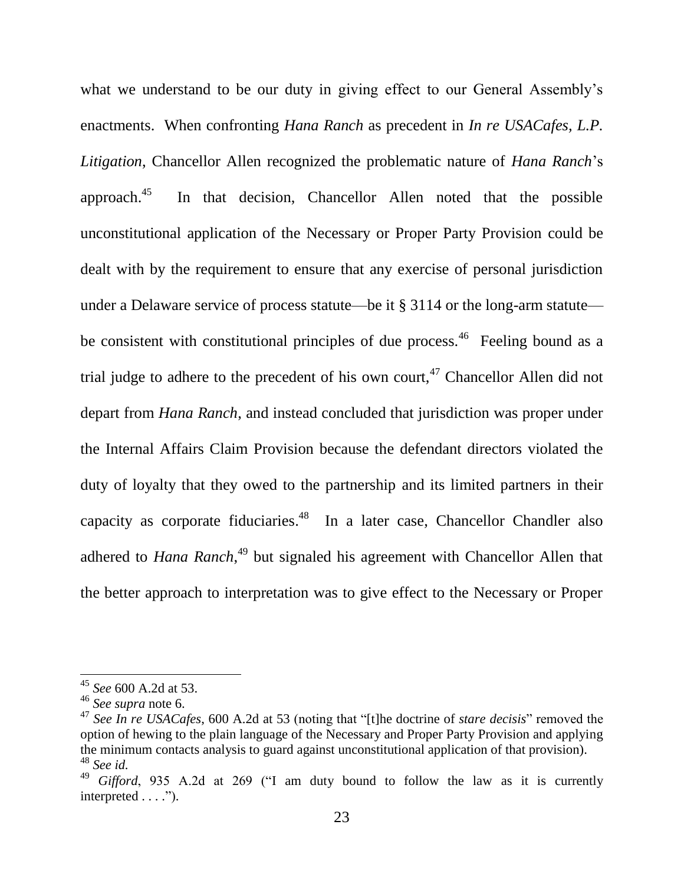what we understand to be our duty in giving effect to our General Assembly's enactments. When confronting *Hana Ranch* as precedent in *In re USACafes, L.P. Litigation*, Chancellor Allen recognized the problematic nature of *Hana Ranch*'s approach.<sup>45</sup> In that decision, Chancellor Allen noted that the possible unconstitutional application of the Necessary or Proper Party Provision could be dealt with by the requirement to ensure that any exercise of personal jurisdiction under a Delaware service of process statute—be it § 3114 or the long-arm statute be consistent with constitutional principles of due process.<sup>46</sup> Feeling bound as a trial judge to adhere to the precedent of his own court,  $47$  Chancellor Allen did not depart from *Hana Ranch*, and instead concluded that jurisdiction was proper under the Internal Affairs Claim Provision because the defendant directors violated the duty of loyalty that they owed to the partnership and its limited partners in their capacity as corporate fiduciaries.<sup>48</sup> In a later case, Chancellor Chandler also adhered to *Hana Ranch*<sup>49</sup> but signaled his agreement with Chancellor Allen that the better approach to interpretation was to give effect to the Necessary or Proper

<sup>45</sup> *See* 600 A.2d at 53.

<sup>46</sup> *See supra* note [6.](#page-5-0)

<sup>&</sup>lt;sup>47</sup> See In re USACafes, 600 A.2d at 53 (noting that "[t]he doctrine of *stare decisis*" removed the option of hewing to the plain language of the Necessary and Proper Party Provision and applying the minimum contacts analysis to guard against unconstitutional application of that provision). <sup>48</sup> *See id.* 

 $49\text{ }Gifford$ , 935 A.2d at 269 ("I am duty bound to follow the law as it is currently interpreted  $\dots$ .").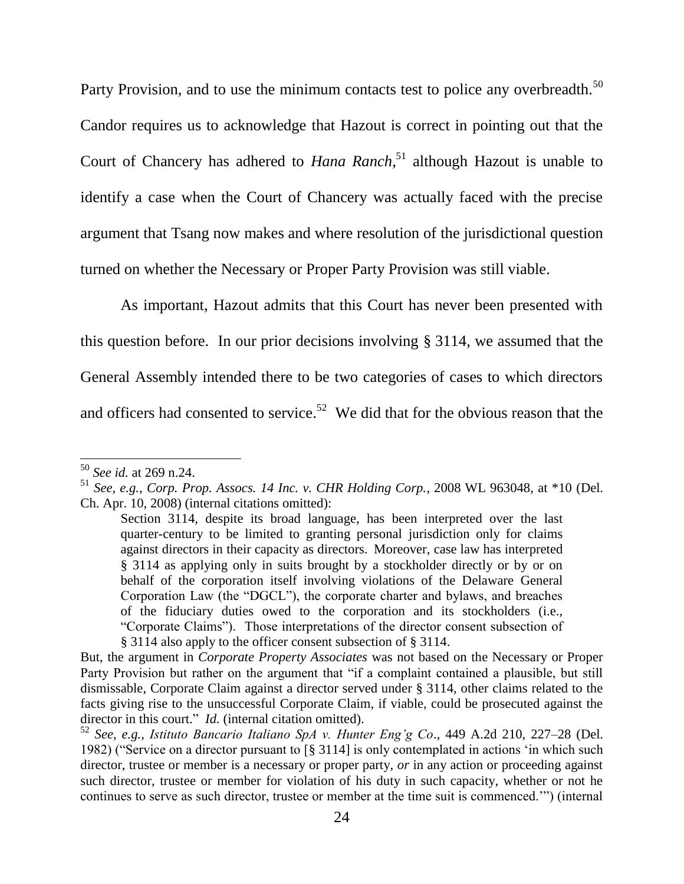Party Provision, and to use the minimum contacts test to police any overbreadth.<sup>50</sup>

Candor requires us to acknowledge that Hazout is correct in pointing out that the Court of Chancery has adhered to *Hana Ranch*, <sup>51</sup> although Hazout is unable to identify a case when the Court of Chancery was actually faced with the precise argument that Tsang now makes and where resolution of the jurisdictional question turned on whether the Necessary or Proper Party Provision was still viable.

As important, Hazout admits that this Court has never been presented with this question before. In our prior decisions involving § 3114, we assumed that the General Assembly intended there to be two categories of cases to which directors and officers had consented to service.<sup>52</sup> We did that for the obvious reason that the

<sup>50</sup> *See id.* at 269 n.24.

<sup>51</sup> *See, e.g.*, *Corp. Prop. Assocs. 14 Inc. v. CHR Holding Corp.*, 2008 WL 963048, at \*10 (Del. Ch. Apr. 10, 2008) (internal citations omitted):

Section 3114, despite its broad language, has been interpreted over the last quarter-century to be limited to granting personal jurisdiction only for claims against directors in their capacity as directors. Moreover, case law has interpreted § 3114 as applying only in suits brought by a stockholder directly or by or on behalf of the corporation itself involving violations of the Delaware General Corporation Law (the "DGCL"), the corporate charter and bylaws, and breaches of the fiduciary duties owed to the corporation and its stockholders (i.e., ―Corporate Claims‖). Those interpretations of the director consent subsection of § 3114 also apply to the officer consent subsection of § 3114.

But, the argument in *Corporate Property Associates* was not based on the Necessary or Proper Party Provision but rather on the argument that "if a complaint contained a plausible, but still dismissable, Corporate Claim against a director served under § 3114, other claims related to the facts giving rise to the unsuccessful Corporate Claim, if viable, could be prosecuted against the director in this court." *Id.* (internal citation omitted).

<sup>52</sup> *See, e.g.*, *Istituto Bancario Italiano SpA v. Hunter Eng'g Co*., 449 A.2d 210, 227–28 (Del. 1982) ("Service on a director pursuant to  $\lceil \frac{8}{3} \rceil$  3114] is only contemplated in actions 'in which such director, trustee or member is a necessary or proper party, *or* in any action or proceeding against such director, trustee or member for violation of his duty in such capacity, whether or not he continues to serve as such director, trustee or member at the time suit is commenced."") (internal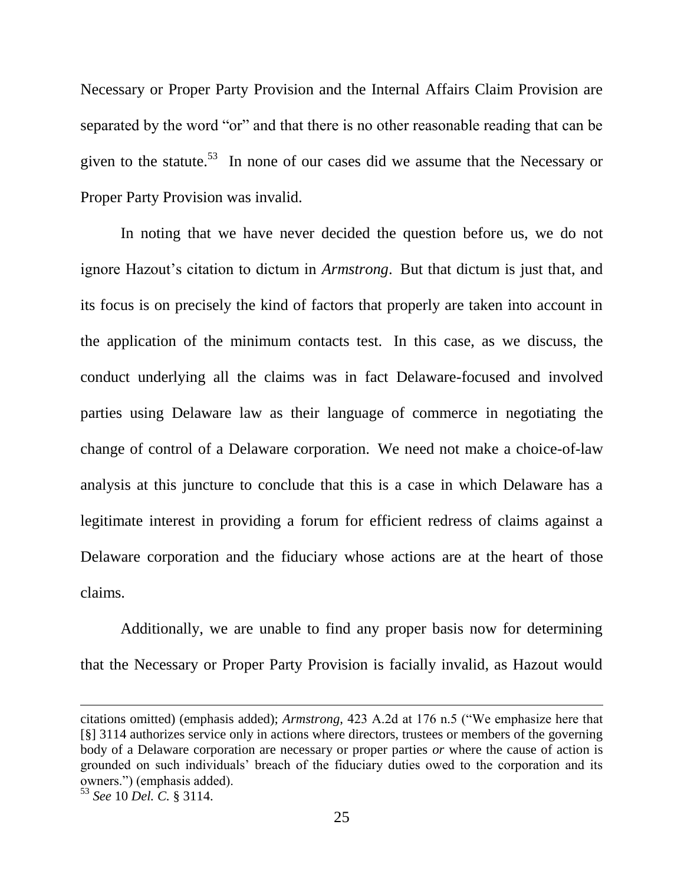Necessary or Proper Party Provision and the Internal Affairs Claim Provision are separated by the word "or" and that there is no other reasonable reading that can be given to the statute.<sup>53</sup> In none of our cases did we assume that the Necessary or Proper Party Provision was invalid.

In noting that we have never decided the question before us, we do not ignore Hazout's citation to dictum in *Armstrong*. But that dictum is just that, and its focus is on precisely the kind of factors that properly are taken into account in the application of the minimum contacts test. In this case, as we discuss, the conduct underlying all the claims was in fact Delaware-focused and involved parties using Delaware law as their language of commerce in negotiating the change of control of a Delaware corporation. We need not make a choice-of-law analysis at this juncture to conclude that this is a case in which Delaware has a legitimate interest in providing a forum for efficient redress of claims against a Delaware corporation and the fiduciary whose actions are at the heart of those claims.

Additionally, we are unable to find any proper basis now for determining that the Necessary or Proper Party Provision is facially invalid, as Hazout would

citations omitted) (emphasis added); *Armstrong*, 423 A.2d at 176 n.5 ("We emphasize here that [§] 3114 authorizes service only in actions where directors, trustees or members of the governing body of a Delaware corporation are necessary or proper parties *or* where the cause of action is grounded on such individuals' breach of the fiduciary duties owed to the corporation and its owners.‖) (emphasis added).

<sup>53</sup> *See* 10 *Del. C.* § 3114.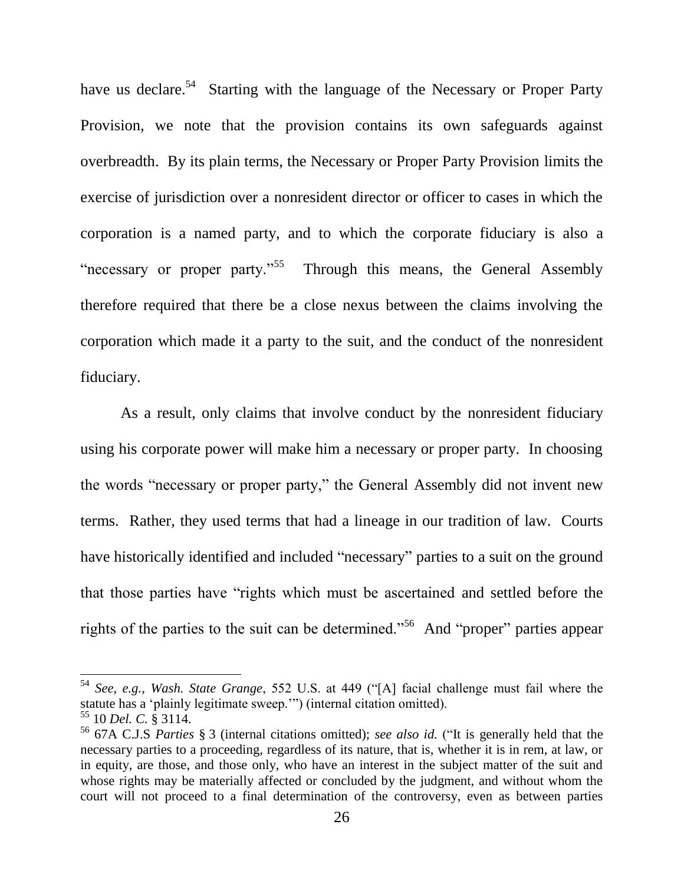have us declare.<sup>54</sup> Starting with the language of the Necessary or Proper Party Provision, we note that the provision contains its own safeguards against overbreadth. By its plain terms, the Necessary or Proper Party Provision limits the exercise of jurisdiction over a nonresident director or officer to cases in which the corporation is a named party, and to which the corporate fiduciary is also a "necessary or proper party."<sup>55</sup> Through this means, the General Assembly therefore required that there be a close nexus between the claims involving the corporation which made it a party to the suit, and the conduct of the nonresident fiduciary.

As a result, only claims that involve conduct by the nonresident fiduciary using his corporate power will make him a necessary or proper party. In choosing the words "necessary or proper party," the General Assembly did not invent new terms. Rather, they used terms that had a lineage in our tradition of law. Courts have historically identified and included "necessary" parties to a suit on the ground that those parties have "rights which must be ascertained and settled before the rights of the parties to the suit can be determined."<sup>56</sup> And "proper" parties appear

<span id="page-26-0"></span><sup>&</sup>lt;sup>54</sup> *See, e.g., Wash. State Grange,* 552 U.S. at 449 ("[A] facial challenge must fail where the statute has a 'plainly legitimate sweep.'") (internal citation omitted).

<sup>55</sup> 10 *Del. C.* § 3114.

<sup>&</sup>lt;sup>56</sup> 67A C.J.S *Parties* § 3 (internal citations omitted); *see also id.* ("It is generally held that the necessary parties to a proceeding, regardless of its nature, that is, whether it is in rem, at law, or in equity, are those, and those only, who have an interest in the subject matter of the suit and whose rights may be materially affected or concluded by the judgment, and without whom the court will not proceed to a final determination of the controversy, even as between parties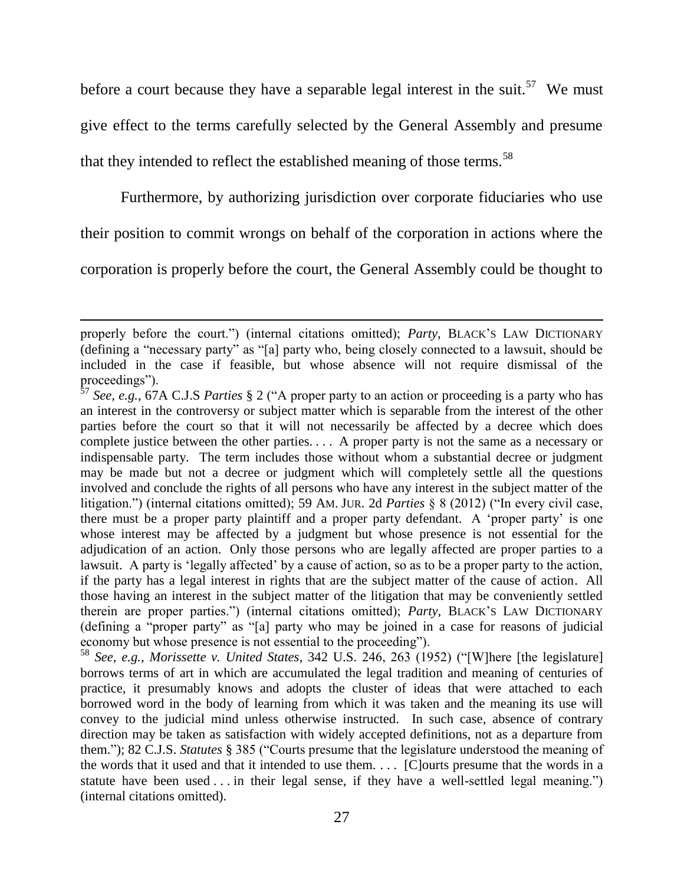before a court because they have a separable legal interest in the suit.<sup>57</sup> We must give effect to the terms carefully selected by the General Assembly and presume that they intended to reflect the established meaning of those terms.<sup>58</sup>

<span id="page-27-0"></span>Furthermore, by authorizing jurisdiction over corporate fiduciaries who use

their position to commit wrongs on behalf of the corporation in actions where the

corporation is properly before the court, the General Assembly could be thought to

l

properly before the court.") (internal citations omitted); *Party*, BLACK'S LAW DICTIONARY (defining a "necessary party" as "[a] party who, being closely connected to a lawsuit, should be included in the case if feasible, but whose absence will not require dismissal of the proceedings").

<sup>&</sup>lt;sup>57</sup> *See, e.g.,* 67A C.J.S *Parties* § 2 ("A proper party to an action or proceeding is a party who has an interest in the controversy or subject matter which is separable from the interest of the other parties before the court so that it will not necessarily be affected by a decree which does complete justice between the other parties. . . . A proper party is not the same as a necessary or indispensable party. The term includes those without whom a substantial decree or judgment may be made but not a decree or judgment which will completely settle all the questions involved and conclude the rights of all persons who have any interest in the subject matter of the litigation.") (internal citations omitted); 59 AM. JUR. 2d *Parties* § 8 (2012) ("In every civil case, there must be a proper party plaintiff and a proper party defendant. A 'proper party' is one whose interest may be affected by a judgment but whose presence is not essential for the adjudication of an action. Only those persons who are legally affected are proper parties to a lawsuit. A party is 'legally affected' by a cause of action, so as to be a proper party to the action, if the party has a legal interest in rights that are the subject matter of the cause of action. All those having an interest in the subject matter of the litigation that may be conveniently settled therein are proper parties.‖) (internal citations omitted); *Party*, BLACK'S LAW DICTIONARY (defining a "proper party" as "[a] party who may be joined in a case for reasons of judicial economy but whose presence is not essential to the proceeding").

<sup>&</sup>lt;sup>58</sup> See, e.g., Morissette v. United States, 342 U.S. 246, 263 (1952) ("[W]here [the legislature] borrows terms of art in which are accumulated the legal tradition and meaning of centuries of practice, it presumably knows and adopts the cluster of ideas that were attached to each borrowed word in the body of learning from which it was taken and the meaning its use will convey to the judicial mind unless otherwise instructed. In such case, absence of contrary direction may be taken as satisfaction with widely accepted definitions, not as a departure from them."); 82 C.J.S. *Statutes* § 385 ("Courts presume that the legislature understood the meaning of the words that it used and that it intended to use them. . . . [C]ourts presume that the words in a statute have been used  $\ldots$  in their legal sense, if they have a well-settled legal meaning.") (internal citations omitted).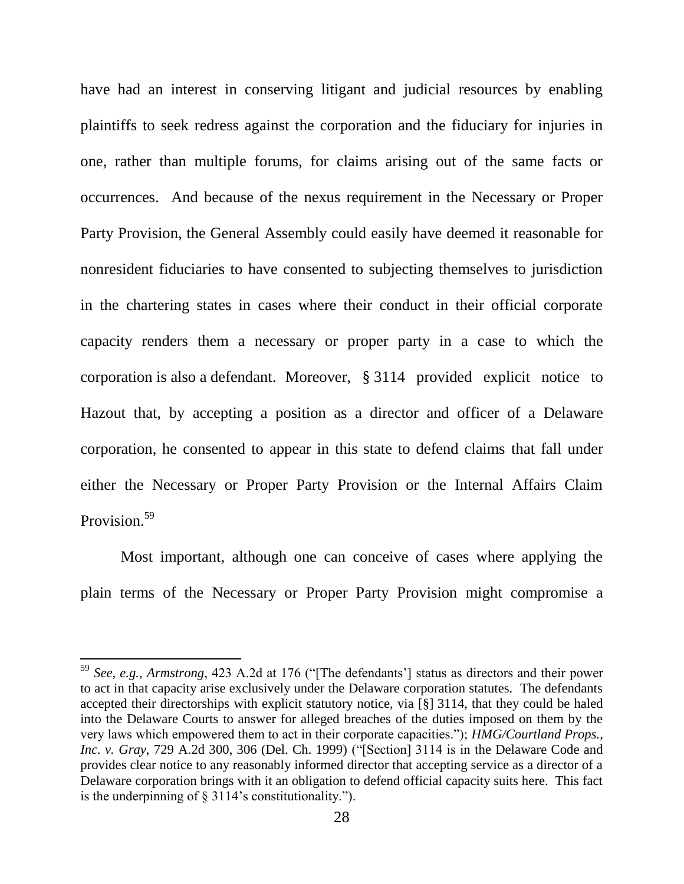have had an interest in conserving litigant and judicial resources by enabling plaintiffs to seek redress against the corporation and the fiduciary for injuries in one, rather than multiple forums, for claims arising out of the same facts or occurrences. And because of the nexus requirement in the Necessary or Proper Party Provision, the General Assembly could easily have deemed it reasonable for nonresident fiduciaries to have consented to subjecting themselves to jurisdiction in the chartering states in cases where their conduct in their official corporate capacity renders them a necessary or proper party in a case to which the corporation is also a defendant. Moreover, § 3114 provided explicit notice to Hazout that, by accepting a position as a director and officer of a Delaware corporation, he consented to appear in this state to defend claims that fall under either the Necessary or Proper Party Provision or the Internal Affairs Claim Provision.<sup>59</sup>

Most important, although one can conceive of cases where applying the plain terms of the Necessary or Proper Party Provision might compromise a

<sup>&</sup>lt;sup>59</sup> *See, e.g., Armstrong, 423 A.2d at 176* ("[The defendants'] status as directors and their power to act in that capacity arise exclusively under the Delaware corporation statutes. The defendants accepted their directorships with explicit statutory notice, via [§] 3114, that they could be haled into the Delaware Courts to answer for alleged breaches of the duties imposed on them by the very laws which empowered them to act in their corporate capacities.‖); *HMG/Courtland Props., Inc. v. Gray*, 729 A.2d 300, 306 (Del. Ch. 1999) ("[Section] 3114 is in the Delaware Code and provides clear notice to any reasonably informed director that accepting service as a director of a Delaware corporation brings with it an obligation to defend official capacity suits here. This fact is the underpinning of  $\S$  3114's constitutionality.").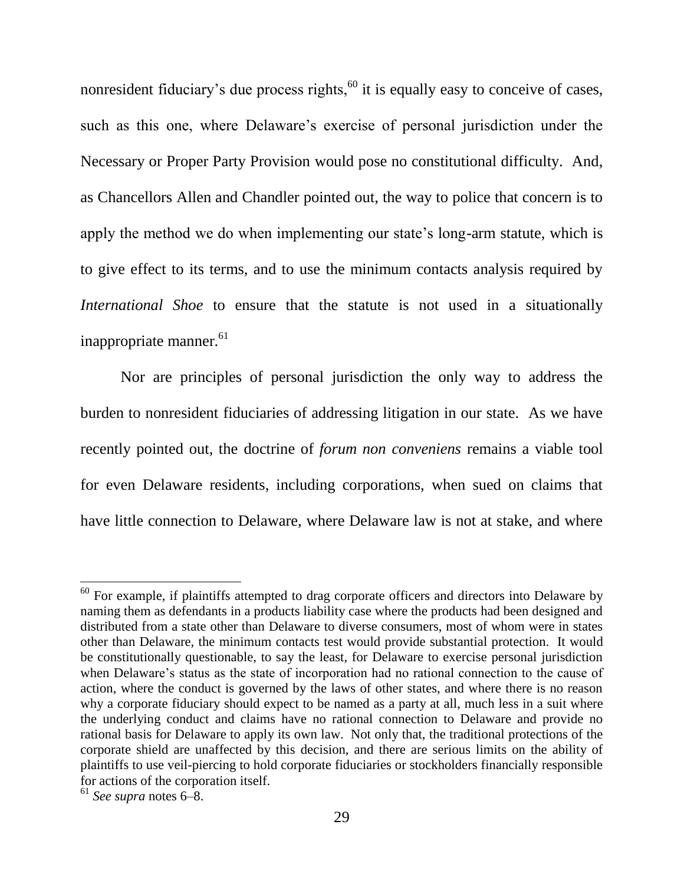nonresident fiduciary's due process rights,<sup>60</sup> it is equally easy to conceive of cases, such as this one, where Delaware's exercise of personal jurisdiction under the Necessary or Proper Party Provision would pose no constitutional difficulty. And, as Chancellors Allen and Chandler pointed out, the way to police that concern is to apply the method we do when implementing our state's long-arm statute, which is to give effect to its terms, and to use the minimum contacts analysis required by *International Shoe* to ensure that the statute is not used in a situationally inappropriate manner.<sup>61</sup>

Nor are principles of personal jurisdiction the only way to address the burden to nonresident fiduciaries of addressing litigation in our state. As we have recently pointed out, the doctrine of *forum non conveniens* remains a viable tool for even Delaware residents, including corporations, when sued on claims that have little connection to Delaware, where Delaware law is not at stake, and where

 $60$  For example, if plaintiffs attempted to drag corporate officers and directors into Delaware by naming them as defendants in a products liability case where the products had been designed and distributed from a state other than Delaware to diverse consumers, most of whom were in states other than Delaware, the minimum contacts test would provide substantial protection. It would be constitutionally questionable, to say the least, for Delaware to exercise personal jurisdiction when Delaware's status as the state of incorporation had no rational connection to the cause of action, where the conduct is governed by the laws of other states, and where there is no reason why a corporate fiduciary should expect to be named as a party at all, much less in a suit where the underlying conduct and claims have no rational connection to Delaware and provide no rational basis for Delaware to apply its own law. Not only that, the traditional protections of the corporate shield are unaffected by this decision, and there are serious limits on the ability of plaintiffs to use veil-piercing to hold corporate fiduciaries or stockholders financially responsible for actions of the corporation itself.

<sup>61</sup> *See supra* notes [6–](#page-5-0)[8.](#page-5-2)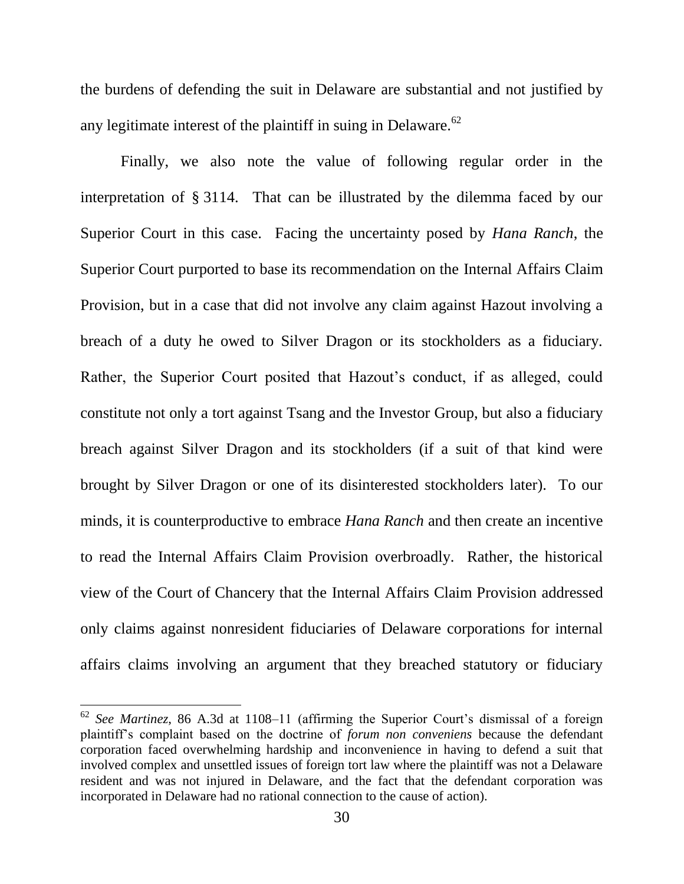the burdens of defending the suit in Delaware are substantial and not justified by any legitimate interest of the plaintiff in suing in Delaware. $62$ 

Finally, we also note the value of following regular order in the interpretation of § 3114. That can be illustrated by the dilemma faced by our Superior Court in this case. Facing the uncertainty posed by *Hana Ranch*, the Superior Court purported to base its recommendation on the Internal Affairs Claim Provision, but in a case that did not involve any claim against Hazout involving a breach of a duty he owed to Silver Dragon or its stockholders as a fiduciary. Rather, the Superior Court posited that Hazout's conduct, if as alleged, could constitute not only a tort against Tsang and the Investor Group, but also a fiduciary breach against Silver Dragon and its stockholders (if a suit of that kind were brought by Silver Dragon or one of its disinterested stockholders later). To our minds, it is counterproductive to embrace *Hana Ranch* and then create an incentive to read the Internal Affairs Claim Provision overbroadly. Rather, the historical view of the Court of Chancery that the Internal Affairs Claim Provision addressed only claims against nonresident fiduciaries of Delaware corporations for internal affairs claims involving an argument that they breached statutory or fiduciary

<sup>62</sup> *See Martinez*, 86 A.3d at 1108–11 (affirming the Superior Court's dismissal of a foreign plaintiff's complaint based on the doctrine of *forum non conveniens* because the defendant corporation faced overwhelming hardship and inconvenience in having to defend a suit that involved complex and unsettled issues of foreign tort law where the plaintiff was not a Delaware resident and was not injured in Delaware, and the fact that the defendant corporation was incorporated in Delaware had no rational connection to the cause of action).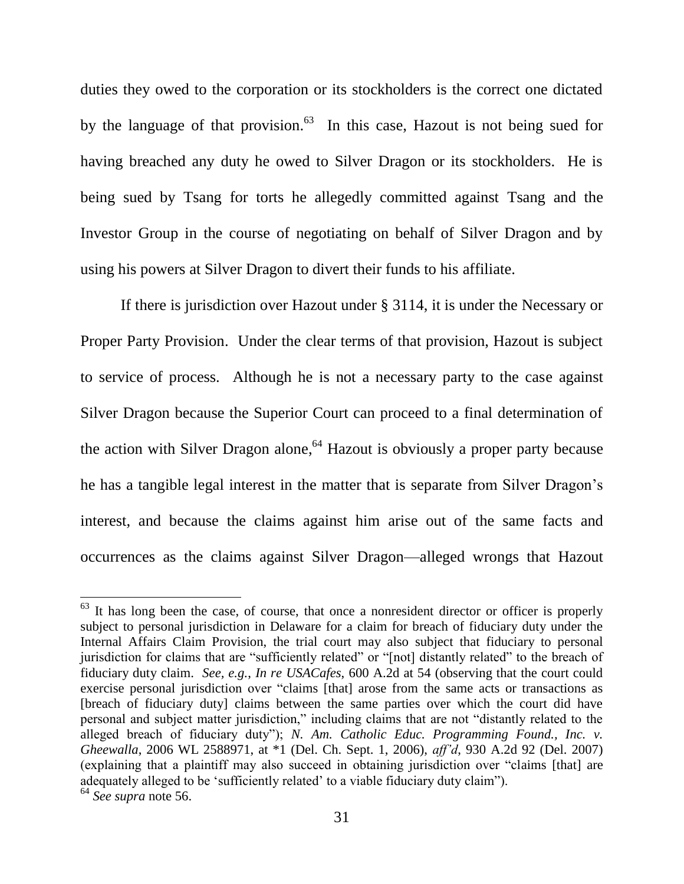duties they owed to the corporation or its stockholders is the correct one dictated by the language of that provision.<sup>63</sup> In this case, Hazout is not being sued for having breached any duty he owed to Silver Dragon or its stockholders. He is being sued by Tsang for torts he allegedly committed against Tsang and the Investor Group in the course of negotiating on behalf of Silver Dragon and by using his powers at Silver Dragon to divert their funds to his affiliate.

If there is jurisdiction over Hazout under § 3114, it is under the Necessary or Proper Party Provision. Under the clear terms of that provision, Hazout is subject to service of process. Although he is not a necessary party to the case against Silver Dragon because the Superior Court can proceed to a final determination of the action with Silver Dragon alone, <sup>64</sup> Hazout is obviously a proper party because he has a tangible legal interest in the matter that is separate from Silver Dragon's interest, and because the claims against him arise out of the same facts and occurrences as the claims against Silver Dragon—alleged wrongs that Hazout

 $63$  It has long been the case, of course, that once a nonresident director or officer is properly subject to personal jurisdiction in Delaware for a claim for breach of fiduciary duty under the Internal Affairs Claim Provision, the trial court may also subject that fiduciary to personal jurisdiction for claims that are "sufficiently related" or "[not] distantly related" to the breach of fiduciary duty claim. *See, e.g.*, *In re USACafes*, 600 A.2d at 54 (observing that the court could exercise personal jurisdiction over "claims [that] arose from the same acts or transactions as [breach of fiduciary duty] claims between the same parties over which the court did have personal and subject matter jurisdiction," including claims that are not "distantly related to the alleged breach of fiduciary duty"); *N. Am. Catholic Educ. Programming Found., Inc. v. Gheewalla*, 2006 WL 2588971, at \*1 (Del. Ch. Sept. 1, 2006), *aff'd*, 930 A.2d 92 (Del. 2007) (explaining that a plaintiff may also succeed in obtaining jurisdiction over "claims [that] are adequately alleged to be 'sufficiently related' to a viable fiduciary duty claim"). <sup>64</sup> *See supra* note [56.](#page-26-0)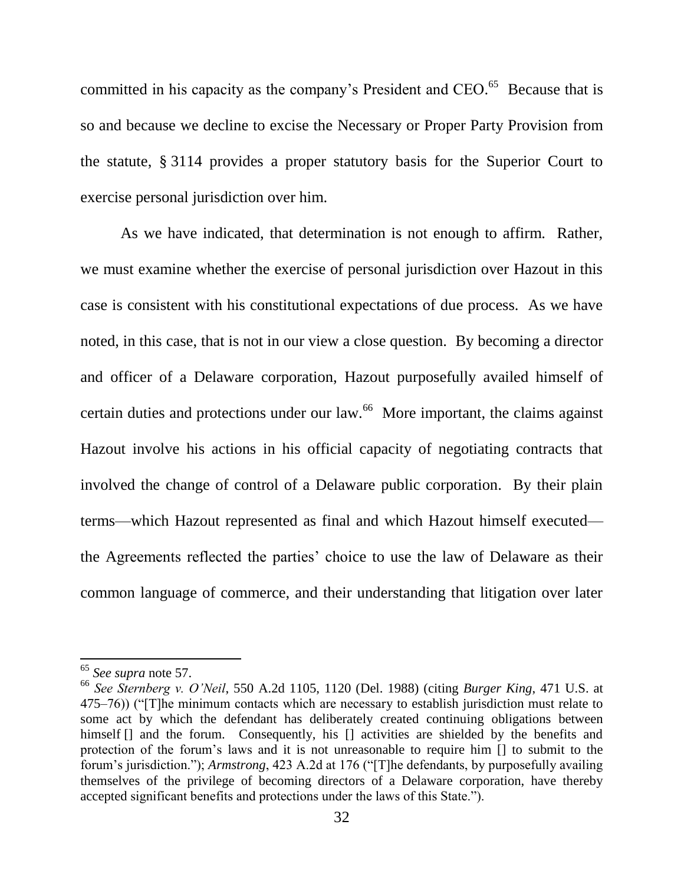committed in his capacity as the company's President and CEO.<sup>65</sup> Because that is so and because we decline to excise the Necessary or Proper Party Provision from the statute, § 3114 provides a proper statutory basis for the Superior Court to exercise personal jurisdiction over him.

As we have indicated, that determination is not enough to affirm. Rather, we must examine whether the exercise of personal jurisdiction over Hazout in this case is consistent with his constitutional expectations of due process. As we have noted, in this case, that is not in our view a close question. By becoming a director and officer of a Delaware corporation, Hazout purposefully availed himself of certain duties and protections under our law.<sup>66</sup> More important, the claims against Hazout involve his actions in his official capacity of negotiating contracts that involved the change of control of a Delaware public corporation. By their plain terms—which Hazout represented as final and which Hazout himself executed the Agreements reflected the parties' choice to use the law of Delaware as their common language of commerce, and their understanding that litigation over later

<sup>65</sup> *See supra* note [57.](#page-27-0)

<sup>66</sup> *See Sternberg v. O'Neil*, 550 A.2d 1105, 1120 (Del. 1988) (citing *Burger King*, 471 U.S. at  $(475–76)$ ) ("[T]he minimum contacts which are necessary to establish jurisdiction must relate to some act by which the defendant has deliberately created continuing obligations between himself  $\Box$  and the forum. Consequently, his  $\Box$  activities are shielded by the benefits and protection of the forum's laws and it is not unreasonable to require him [] to submit to the forum's jurisdiction."); *Armstrong*, 423 A.2d at 176 ("[T]he defendants, by purposefully availing themselves of the privilege of becoming directors of a Delaware corporation, have thereby accepted significant benefits and protections under the laws of this State.").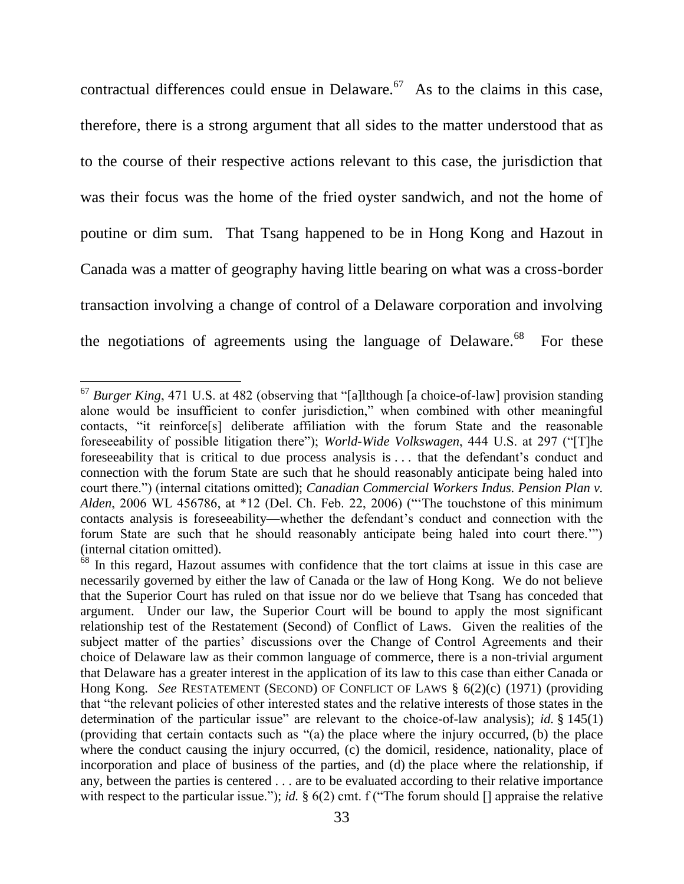contractual differences could ensue in Delaware.  $67$  As to the claims in this case, therefore, there is a strong argument that all sides to the matter understood that as to the course of their respective actions relevant to this case, the jurisdiction that was their focus was the home of the fried oyster sandwich, and not the home of poutine or dim sum. That Tsang happened to be in Hong Kong and Hazout in Canada was a matter of geography having little bearing on what was a cross-border transaction involving a change of control of a Delaware corporation and involving the negotiations of agreements using the language of Delaware. $68$ For these

<sup>&</sup>lt;sup>67</sup> *Burger King*, 471 U.S. at 482 (observing that "[a]lthough [a choice-of-law] provision standing alone would be insufficient to confer jurisdiction," when combined with other meaningful contacts, "it reinforce<sup>[s]</sup> deliberate affiliation with the forum State and the reasonable foreseeability of possible litigation there"); *World-Wide Volkswagen*, 444 U.S. at 297 ("[T]he foreseeability that is critical to due process analysis is . . . that the defendant's conduct and connection with the forum State are such that he should reasonably anticipate being haled into court there.") (internal citations omitted); *Canadian Commercial Workers Indus. Pension Plan v. Alden*, 2006 WL 456786, at \*12 (Del. Ch. Feb. 22, 2006) ("The touchstone of this minimum contacts analysis is foreseeability—whether the defendant's conduct and connection with the forum State are such that he should reasonably anticipate being haled into court there." (internal citation omitted).

<sup>&</sup>lt;sup>68</sup> In this regard, Hazout assumes with confidence that the tort claims at issue in this case are necessarily governed by either the law of Canada or the law of Hong Kong. We do not believe that the Superior Court has ruled on that issue nor do we believe that Tsang has conceded that argument. Under our law, the Superior Court will be bound to apply the most significant relationship test of the Restatement (Second) of Conflict of Laws. Given the realities of the subject matter of the parties' discussions over the Change of Control Agreements and their choice of Delaware law as their common language of commerce, there is a non-trivial argument that Delaware has a greater interest in the application of its law to this case than either Canada or Hong Kong. *See* RESTATEMENT (SECOND) OF CONFLICT OF LAWS § 6(2)(c) (1971) (providing that "the relevant policies of other interested states and the relative interests of those states in the determination of the particular issue" are relevant to the choice-of-law analysis); *id.*  $\S$  145(1) (providing that certain contacts such as  $(a)$  the place where the injury occurred, (b) the place where the conduct causing the injury occurred, (c) the domicil, residence, nationality, place of incorporation and place of business of the parties, and (d) the place where the relationship, if any, between the parties is centered . . . are to be evaluated according to their relative importance with respect to the particular issue."); *id.*  $\S$  6(2) cmt. f ("The forum should [] appraise the relative